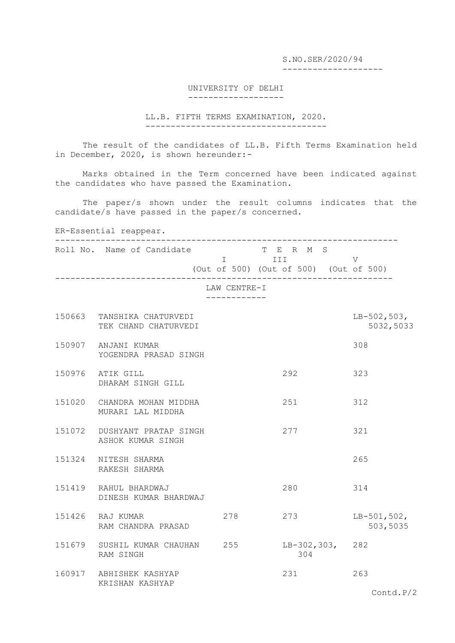S.NO.SER/2020/94 --------------------

## UNIVERSITY OF DELHI -------------------

LL.B. FIFTH TERMS EXAMINATION, 2020. ------------------------------------

The result of the candidates of LL.B. Fifth Terms Examination held in December, 2020, is shown hereunder:-

Marks obtained in the Term concerned have been indicated against the candidates who have passed the Examination.

The paper/s shown under the result columns indicates that the candidate/s have passed in the paper/s concerned.

ER-Essential reappear.

|        | Roll No. Name of Candidate                         | $\mathbf I$ and the set of $\mathbf I$ | T E R M S<br>III<br>(Out of 500) (Out of 500) (Out of 500) | $\mathbf V$                  |
|--------|----------------------------------------------------|----------------------------------------|------------------------------------------------------------|------------------------------|
|        |                                                    | LAW CENTRE-I                           |                                                            |                              |
|        | 150663 TANSHIKA CHATURVEDI<br>TEK CHAND CHATURVEDI |                                        |                                                            | $LB-502,503,$<br>5032,5033   |
|        | 150907 ANJANI KUMAR<br>YOGENDRA PRASAD SINGH       |                                        |                                                            | 308                          |
| 150976 | ATIK GILL<br>DHARAM SINGH GILL                     |                                        | 292                                                        | 323                          |
|        | 151020 CHANDRA MOHAN MIDDHA<br>MURARI LAL MIDDHA   |                                        | 251                                                        | 312                          |
|        | 151072 DUSHYANT PRATAP SINGH<br>ASHOK KUMAR SINGH  |                                        | 277                                                        | 321                          |
|        | 151324 NITESH SHARMA<br>RAKESH SHARMA              |                                        |                                                            | 265                          |
|        | 151419 RAHUL BHARDWAJ<br>DINESH KUMAR BHARDWAJ     |                                        | 280                                                        | 314                          |
|        | 151426 RAJ KUMAR<br>RAM CHANDRA PRASAD             | 278                                    | 273                                                        | $LB-501,502,$<br>503,5035    |
|        | 151679 SUSHIL KUMAR CHAUHAN 255<br>RAM SINGH       |                                        | LB-302,303, 282<br>304                                     |                              |
|        | 160917 ABHISHEK KASHYAP<br>KRISHAN KASHYAP         |                                        | 231                                                        | 263<br>$\text{Control}. P/2$ |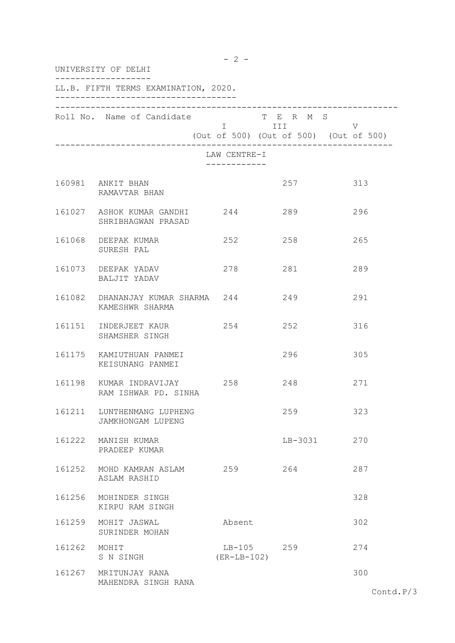|        | UNIVERSITY OF DELHI                                  |                              |                           |                                             |  |  |
|--------|------------------------------------------------------|------------------------------|---------------------------|---------------------------------------------|--|--|
|        | LL.B. FIFTH TERMS EXAMINATION, 2020.                 |                              |                           |                                             |  |  |
|        | Roll No. Name of Candidate                           |                              | T E R M S<br><b>I</b> III | V<br>(Out of 500) (Out of 500) (Out of 500) |  |  |
|        |                                                      | LAW CENTRE-I<br>____________ |                           |                                             |  |  |
|        | 160981 ANKIT BHAN<br>RAMAVTAR BHAN                   |                              | 257                       | 313                                         |  |  |
|        | 161027 ASHOK KUMAR GANDHI 244<br>SHRIBHAGWAN PRASAD  |                              | 289                       | 296                                         |  |  |
|        | 161068 DEEPAK KUMAR<br>SURESH PAL                    | 252                          | 258                       | 265                                         |  |  |
|        | 161073 DEEPAK YADAV<br>BALJIT YADAV                  | 278                          | 281                       | 289                                         |  |  |
|        | 161082 DHANANJAY KUMAR SHARMA 244<br>KAMESHWR SHARMA |                              | 249                       | 291                                         |  |  |
|        | 161151 INDERJEET KAUR<br>SHAMSHER SINGH              | 254                          | 252                       | 316                                         |  |  |
|        | 161175 KAMIUTHUAN PANMEI<br>KEISUNANG PANMEI         |                              | 296                       | 305                                         |  |  |
|        | 161198 KUMAR INDRAVIJAY 258<br>RAM ISHWAR PD. SINHA  |                              | 248                       | 271                                         |  |  |
| 161211 | LUNTHENMANG LUPHENG<br>JAMKHONGAM LUPENG             |                              | 259                       | 323                                         |  |  |
|        | 161222 MANISH KUMAR<br>PRADEEP KUMAR                 |                              | LB-3031                   | 270                                         |  |  |
|        | 161252 MOHD KAMRAN ASLAM<br>ASLAM RASHID             | 259                          | 264                       | 287                                         |  |  |
|        | 161256 MOHINDER SINGH<br>KIRPU RAM SINGH             |                              |                           | 328                                         |  |  |
|        | 161259 MOHIT JASWAL<br>SURINDER MOHAN                | Absent                       |                           | 302                                         |  |  |
| 161262 | MOHIT<br>S N SINGH                                   | LB-105 259<br>$(ER-LB-102)$  |                           | 274                                         |  |  |
|        | 161267 MRITUNJAY RANA<br>MAHENDRA SINGH RANA         |                              |                           | 300                                         |  |  |

 $- 2 -$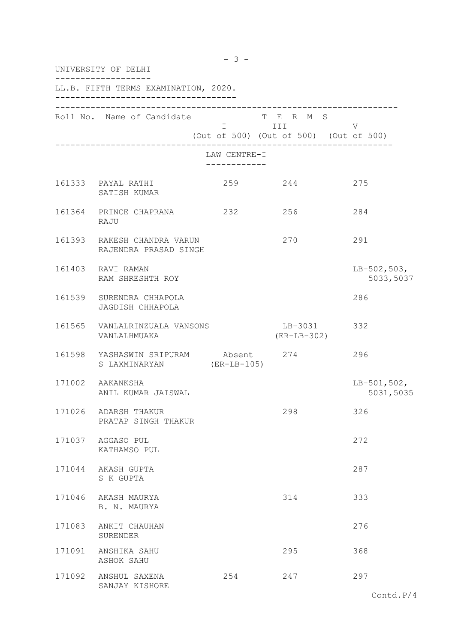| UNIVERSITY OF DELHI |                                                                       |                                                   |                            |                            |  |
|---------------------|-----------------------------------------------------------------------|---------------------------------------------------|----------------------------|----------------------------|--|
|                     | LL.B. FIFTH TERMS EXAMINATION, 2020.                                  |                                                   |                            |                            |  |
|                     | Roll No. Name of Candidate T E R M S                                  | I III V<br>(Out of 500) (Out of 500) (Out of 500) |                            |                            |  |
|                     |                                                                       | LAW CENTRE-I                                      |                            |                            |  |
|                     | 161333 PAYAL RATHI<br>SATISH KUMAR                                    | 259 244                                           |                            | 275                        |  |
|                     | 161364 PRINCE CHAPRANA 232 256<br>RAJU                                |                                                   |                            | 284                        |  |
|                     | 161393 RAKESH CHANDRA VARUN<br>RAJENDRA PRASAD SINGH                  |                                                   | 270                        | 291                        |  |
|                     | 161403 RAVI RAMAN<br>RAM SHRESHTH ROY                                 |                                                   |                            | $LB-502,503,$<br>5033,5037 |  |
|                     | 161539 SURENDRA CHHAPOLA<br>JAGDISH CHHAPOLA                          |                                                   |                            | 286                        |  |
|                     | 161565 VANLALRINZUALA VANSONS<br>VANLALHMUAKA                         |                                                   | LB-3031 332<br>(ER-LB-302) |                            |  |
|                     | 161598 YASHASWIN SRIPURAM Absent 274 296<br>S LAXMINARYAN (ER-LB-105) |                                                   |                            |                            |  |
|                     | 171002 AAKANKSHA<br>ANIL KUMAR JAISWAL                                |                                                   |                            | $LB-501,502,$<br>5031,5035 |  |
| 171026              | ADARSH THAKUR<br>PRATAP SINGH THAKUR                                  |                                                   | 298                        | 326                        |  |
|                     | 171037 AGGASO PUL<br>KATHAMSO PUL                                     |                                                   |                            | 272                        |  |
|                     | 171044 AKASH GUPTA<br>S K GUPTA                                       |                                                   |                            | 287                        |  |
| 171046              | AKASH MAURYA<br>B. N. MAURYA                                          |                                                   | 314                        | 333                        |  |
| 171083              | ANKIT CHAUHAN<br>SURENDER                                             |                                                   |                            | 276                        |  |
| 171091              | ANSHIKA SAHU<br>ASHOK SAHU                                            |                                                   | 295                        | 368                        |  |
| 171092              | ANSHUL SAXENA<br>SANJAY KISHORE                                       | 254                                               | 247                        | 297                        |  |

 $- 3 -$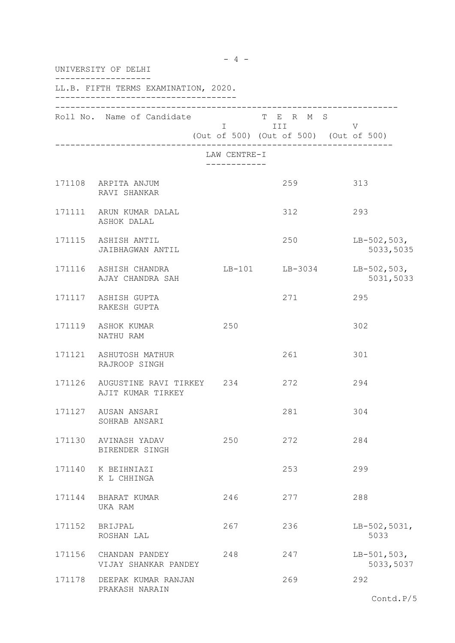| UNIVERSITY OF DELHI |                                                       |                                                                             |                                                            |                            |  |
|---------------------|-------------------------------------------------------|-----------------------------------------------------------------------------|------------------------------------------------------------|----------------------------|--|
|                     | LL.B. FIFTH TERMS EXAMINATION, 2020.                  |                                                                             |                                                            |                            |  |
|                     | Roll No. Name of Candidate                            | $\mathbf I$ and $\mathbf I$ and $\mathbf I$ and $\mathbf I$ and $\mathbf I$ | T E R M S<br>III<br>(Out of 500) (Out of 500) (Out of 500) | V                          |  |
|                     |                                                       | LAW CENTRE-I<br>____________                                                |                                                            |                            |  |
|                     | 171108 ARPITA ANJUM<br>RAVI SHANKAR                   |                                                                             | 259                                                        | 313                        |  |
|                     | 171111 ARUN KUMAR DALAL<br>ASHOK DALAL                |                                                                             | 312                                                        | 293                        |  |
|                     | 171115 ASHISH ANTIL<br>JAIBHAGWAN ANTIL               |                                                                             | 250                                                        | $LB-502,503,$<br>5033,5035 |  |
|                     | 171116 ASHISH CHANDRA<br>AJAY CHANDRA SAH             |                                                                             | LB-101 LB-3034                                             | $LB-502,503,$<br>5031,5033 |  |
|                     | 171117 ASHISH GUPTA<br>RAKESH GUPTA                   |                                                                             | 271                                                        | 295                        |  |
|                     | 171119 ASHOK KUMAR<br>NATHU RAM                       | 250                                                                         |                                                            | 302                        |  |
|                     | 171121 ASHUTOSH MATHUR<br>RAJROOP SINGH               |                                                                             | 261                                                        | 301                        |  |
|                     | 171126 AUGUSTINE RAVI TIRKEY 234<br>AJIT KUMAR TIRKEY |                                                                             | 272                                                        | 294                        |  |
| 171127              | AUSAN ANSARI<br>SOHRAB ANSARI                         |                                                                             | 281                                                        | 304                        |  |
|                     | 171130 AVINASH YADAV<br>BIRENDER SINGH                | 250                                                                         | 272                                                        | 284                        |  |
| 171140              | K BEIHNIAZI<br>K L CHHINGA                            |                                                                             | 253                                                        | 299                        |  |
| 171144              | BHARAT KUMAR<br>UKA RAM                               | 246                                                                         | 277                                                        | 288                        |  |
| 171152              | BRIJPAL<br>ROSHAN LAL                                 | 267                                                                         | 236                                                        | $LB-502,5031,$<br>5033     |  |
| 171156              | CHANDAN PANDEY<br>VIJAY SHANKAR PANDEY                | 248                                                                         | 247                                                        | $LB-501,503,$<br>5033,5037 |  |
| 171178              | DEEPAK KUMAR RANJAN<br>PRAKASH NARAIN                 |                                                                             | 269                                                        | 292<br>Contd.P/5           |  |

 $- 4 -$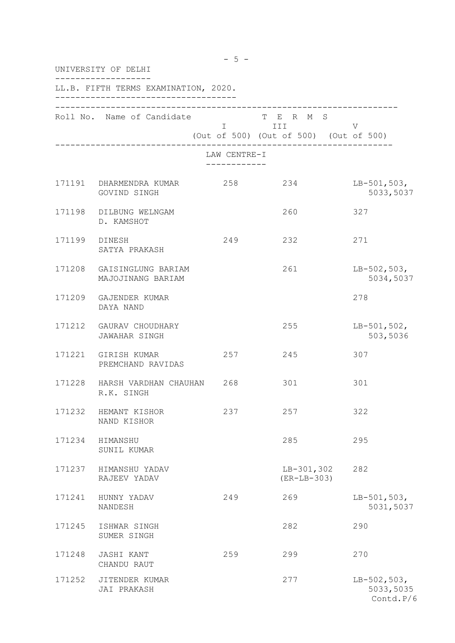|        | $-5 -$<br>UNIVERSITY OF DELHI                   |              |                                                                |                                         |  |  |
|--------|-------------------------------------------------|--------------|----------------------------------------------------------------|-----------------------------------------|--|--|
|        | LL.B. FIFTH TERMS EXAMINATION, 2020.            |              |                                                                |                                         |  |  |
|        | Roll No. Name of Candidate                      | LAW CENTRE-I | T E R M S<br>I III V<br>(Out of 500) (Out of 500) (Out of 500) |                                         |  |  |
|        |                                                 | ------------ |                                                                |                                         |  |  |
|        | 171191 DHARMENDRA KUMAR 258 234<br>GOVIND SINGH |              |                                                                | $LB-501,503,$<br>5033,5037              |  |  |
|        | 171198 DILBUNG WELNGAM<br>D. KAMSHOT            |              | 260                                                            | 327                                     |  |  |
| 171199 | DINESH<br>SATYA PRAKASH                         | 249          | 232                                                            | 271                                     |  |  |
| 171208 | GAISINGLUNG BARIAM<br>MAJOJINANG BARIAM         |              | 261                                                            | $LB-502,503,$<br>5034,5037              |  |  |
| 171209 | GAJENDER KUMAR<br>DAYA NAND                     |              |                                                                | 278                                     |  |  |
|        | 171212 GAURAV CHOUDHARY<br><b>JAWAHAR SINGH</b> |              | 255                                                            | $LB-501,502,$<br>503,5036               |  |  |
|        | 171221 GIRISH KUMAR<br>PREMCHAND RAVIDAS        | 257          | 245                                                            | 307                                     |  |  |
|        | 171228 HARSH VARDHAN CHAUHAN 268<br>R.K. SINGH  |              | 301                                                            | 301                                     |  |  |
| 171232 | HEMANT KISHOR<br>NAND KISHOR                    | 237          | 257                                                            | 322                                     |  |  |
| 171234 | HIMANSHU<br>SUNIL KUMAR                         |              | 285                                                            | 295                                     |  |  |
| 171237 | HIMANSHU YADAV<br>RAJEEV YADAV                  |              | $LB-301,302$<br>$(ER-LB-303)$                                  | 282                                     |  |  |
| 171241 | HUNNY YADAV<br>NANDESH                          | 249          | 269                                                            | $LB-501,503,$<br>5031,5037              |  |  |
| 171245 | ISHWAR SINGH<br>SUMER SINGH                     |              | 282                                                            | 290                                     |  |  |
| 171248 | JASHI KANT<br>CHANDU RAUT                       | 259          | 299                                                            | 270                                     |  |  |
| 171252 | JITENDER KUMAR<br>JAI PRAKASH                   |              | 277                                                            | $LB-502,503,$<br>5033,5035<br>Contd.P/6 |  |  |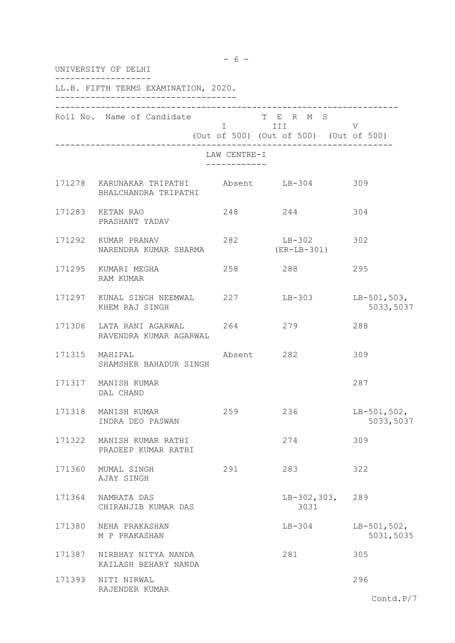|        | UNIVERSITY OF DELHI                                             |              |                                                                                                                                                                                                                                                                                       |                            |  |  |
|--------|-----------------------------------------------------------------|--------------|---------------------------------------------------------------------------------------------------------------------------------------------------------------------------------------------------------------------------------------------------------------------------------------|----------------------------|--|--|
|        | LL.B. FIFTH TERMS EXAMINATION, 2020.                            |              |                                                                                                                                                                                                                                                                                       |                            |  |  |
|        | Roll No. Name of Candidate                                      |              | T E R M S<br>I III DA SANTA DE LA TITULA DE LA CATALLA DE LA CATALLA DE LA CATALLA DE LA CATALLA DE LA CATALLA DE LA CATAL<br>DE LA CATALLA DE LA CATALLA DE LA CATALLA DE LA CATALLA DE LA CATALLA DE LA CATALLA DE LA CATALLA DE LA CATAL<br>(Out of 500) (Out of 500) (Out of 500) | V                          |  |  |
|        |                                                                 | LAW CENTRE-I |                                                                                                                                                                                                                                                                                       |                            |  |  |
|        | 171278 KARUNAKAR TRIPATHI Absent LB-304<br>BHALCHANDRA TRIPATHI |              |                                                                                                                                                                                                                                                                                       | 309                        |  |  |
|        | 171283 KETAN RAO<br>PRASHANT YADAV                              | 248          | 244                                                                                                                                                                                                                                                                                   | 304                        |  |  |
|        | NARENDRA KUMAR SHARMA                                           |              | (ER-LB-301)                                                                                                                                                                                                                                                                           |                            |  |  |
|        | 171295 KUMARI MEGHA<br>RAM KUMAR                                |              | 258 288                                                                                                                                                                                                                                                                               | 295                        |  |  |
|        | 171297 KUNAL SINGH NEEMWAL 227 LB-303<br>KHEM RAJ SINGH         |              |                                                                                                                                                                                                                                                                                       | $LB-501,503,$<br>5033,5037 |  |  |
| 171306 | LATA RANI AGARWAL 264 279<br>RAVENDRA KUMAR AGARWAL             |              |                                                                                                                                                                                                                                                                                       | 288                        |  |  |
|        | 171315 MAHIPAL<br>SHAMSHER BAHADUR SINGH                        | Absent 282   |                                                                                                                                                                                                                                                                                       | 309                        |  |  |
|        | 171317 MANISH KUMAR<br>DAL CHAND                                |              |                                                                                                                                                                                                                                                                                       | 287                        |  |  |
| 171318 | MANISH KUMAR<br>INDRA DEO PASWAN                                | 259          | 236                                                                                                                                                                                                                                                                                   | $LB-501,502,$<br>5033,5037 |  |  |
| 171322 | MANISH KUMAR RATHI<br>PRADEEP KUMAR RATHI                       |              | 274                                                                                                                                                                                                                                                                                   | 309                        |  |  |
| 171360 | MUMAL SINGH<br>AJAY SINGH                                       | 291          | 283                                                                                                                                                                                                                                                                                   | 322                        |  |  |
| 171364 | NAMRATA DAS<br>CHIRANJIB KUMAR DAS                              |              | $LB-302,303,$<br>3031                                                                                                                                                                                                                                                                 | 289                        |  |  |
| 171380 | NEHA PRAKASHAN<br>M P PRAKASHAN                                 |              | $LB-304$                                                                                                                                                                                                                                                                              | $LB-501,502,$<br>5031,5035 |  |  |
| 171387 | NIRBHAY NITYA NANDA<br>KAILASH BEHARY NANDA                     |              | 281                                                                                                                                                                                                                                                                                   | 305                        |  |  |
| 171393 | NITI NIRWAL<br>RAJENDER KUMAR                                   |              |                                                                                                                                                                                                                                                                                       | 296                        |  |  |
|        |                                                                 |              |                                                                                                                                                                                                                                                                                       | Contd.P/7                  |  |  |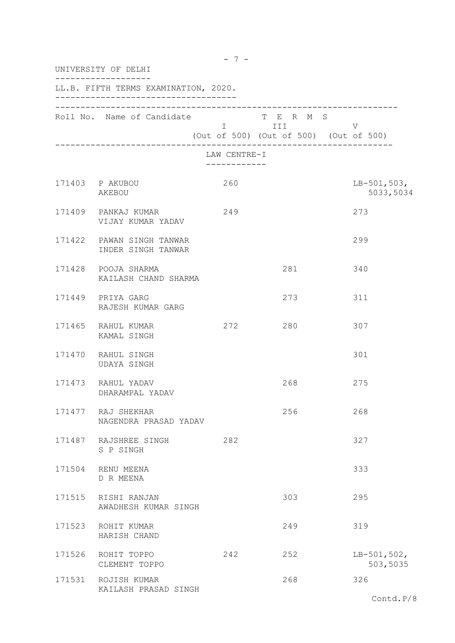| UNIVERSITY OF DELHI |                                                 |              |                         |                                             |  |
|---------------------|-------------------------------------------------|--------------|-------------------------|---------------------------------------------|--|
|                     | LL.B. FIFTH TERMS EXAMINATION, 2020.            |              |                         |                                             |  |
|                     | Roll No. Name of Candidate                      |              | T E R M S<br>I III DATU | V<br>(Out of 500) (Out of 500) (Out of 500) |  |
|                     |                                                 | LAW CENTRE-I |                         |                                             |  |
|                     | 171403 P AKUBOU<br>AKEBOU                       | 260          |                         | $LB-501,503,$<br>5033,5034                  |  |
|                     | 171409 PANKAJ KUMAR<br>VIJAY KUMAR YADAV        | 249          |                         | 273                                         |  |
|                     | 171422 PAWAN SINGH TANWAR<br>INDER SINGH TANWAR |              |                         | 299                                         |  |
|                     | 171428 POOJA SHARMA<br>KAILASH CHAND SHARMA     |              | 281                     | 340                                         |  |
|                     | 171449 PRIYA GARG<br>RAJESH KUMAR GARG          |              | 273                     | 311                                         |  |
|                     | 171465 RAHUL KUMAR<br>KAMAL SINGH               | 272          | 280                     | 307                                         |  |
|                     | 171470 RAHUL SINGH<br>UDAYA SINGH               |              |                         | 301                                         |  |
|                     | 171473 RAHUL YADAV<br>DHARAMPAL YADAV           |              | 268                     | 275                                         |  |
|                     | 171477 RAJ SHEKHAR<br>NAGENDRA PRASAD YADAV     |              | 256                     | 268                                         |  |
|                     | 171487 RAJSHREE SINGH<br>S P SINGH              | 282          |                         | 327                                         |  |
|                     | 171504 RENU MEENA<br>D R MEENA                  |              |                         | 333                                         |  |
| 171515              | RISHI RANJAN<br>AWADHESH KUMAR SINGH            |              | 303                     | 295                                         |  |
| 171523              | ROHIT KUMAR<br>HARISH CHAND                     |              | 249                     | 319                                         |  |
|                     | 171526 ROHIT TOPPO<br>CLEMENT TOPPO             | 242          | 252                     | $LB-501,502,$<br>503,5035                   |  |
|                     | 171531 ROJISH KUMAR<br>KAILASH PRASAD SINGH     |              | 268                     | 326                                         |  |

 $- 7 -$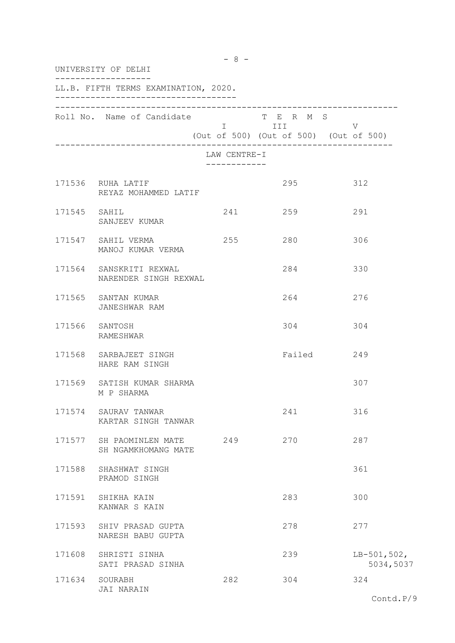|        | UNIVERSITY OF DELHI                              |                                         |                                                                                                                                                                      |                            |
|--------|--------------------------------------------------|-----------------------------------------|----------------------------------------------------------------------------------------------------------------------------------------------------------------------|----------------------------|
|        | LL.B. FIFTH TERMS EXAMINATION, 2020.             |                                         |                                                                                                                                                                      |                            |
|        | Roll No. Name of Candidate                       |                                         | T E R M S<br>in the first state of the state of the state of the state of the state of the state of the state of the state<br>(Out of 500) (Out of 500) (Out of 500) | V                          |
|        |                                                  | LAW CENTRE-I<br>. _ _ _ _ _ _ _ _ _ _ _ |                                                                                                                                                                      |                            |
|        | 171536 RUHA LATIF<br>REYAZ MOHAMMED LATIF        |                                         | 295                                                                                                                                                                  | 312                        |
|        | 171545 SAHIL<br>SANJEEV KUMAR                    | 241                                     | 259                                                                                                                                                                  | 291                        |
|        | 171547 SAHIL VERMA<br>MANOJ KUMAR VERMA          | 255                                     | 280                                                                                                                                                                  | 306                        |
|        | 171564 SANSKRITI REXWAL<br>NARENDER SINGH REXWAL |                                         | 284                                                                                                                                                                  | 330                        |
|        | 171565 SANTAN KUMAR<br>JANESHWAR RAM             |                                         | 264                                                                                                                                                                  | 276                        |
|        | 171566 SANTOSH<br>RAMESHWAR                      |                                         | 304                                                                                                                                                                  | 304                        |
|        | 171568 SARBAJEET SINGH<br>HARE RAM SINGH         |                                         | Failed                                                                                                                                                               | 249                        |
|        | 171569 SATISH KUMAR SHARMA<br>M P SHARMA         |                                         |                                                                                                                                                                      | 307                        |
| 171574 | SAURAV TANWAR<br>KARTAR SINGH TANWAR             |                                         | 241                                                                                                                                                                  | 316                        |
|        | 171577 SH PAOMINLEN MATE<br>SH NGAMKHOMANG MATE  | 249                                     | 270                                                                                                                                                                  | 287                        |
|        | 171588 SHASHWAT SINGH<br>PRAMOD SINGH            |                                         |                                                                                                                                                                      | 361                        |
|        | 171591 SHIKHA KAIN<br>KANWAR S KAIN              |                                         | 283                                                                                                                                                                  | 300                        |
|        | 171593 SHIV PRASAD GUPTA<br>NARESH BABU GUPTA    |                                         | 278                                                                                                                                                                  | 277                        |
| 171608 | SHRISTI SINHA<br>SATI PRASAD SINHA               |                                         | 239                                                                                                                                                                  | $LB-501,502,$<br>5034,5037 |
|        | 171634 SOURABH<br>JAI NARAIN                     | 282                                     | 304                                                                                                                                                                  | 324                        |

 $- 8 -$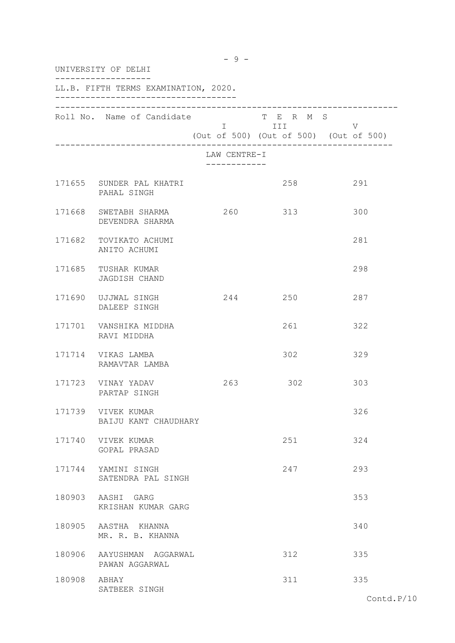| UNIVERSITY OF DELHI |                                             |                             |                    |                                             |
|---------------------|---------------------------------------------|-----------------------------|--------------------|---------------------------------------------|
|                     | LL.B. FIFTH TERMS EXAMINATION, 2020.        |                             |                    |                                             |
|                     | Roll No. Name of Candidate                  |                             | T E R M S<br>I III | V<br>(Out of 500) (Out of 500) (Out of 500) |
|                     |                                             | LAW CENTRE-I<br>----------- |                    |                                             |
|                     | 171655 SUNDER PAL KHATRI<br>PAHAL SINGH     |                             | 258                | 291                                         |
|                     | 171668 SWETABH SHARMA<br>DEVENDRA SHARMA    | 260                         | 313                | 300                                         |
|                     | 171682 TOVIKATO ACHUMI<br>ANITO ACHUMI      |                             |                    | 281                                         |
|                     | 171685 TUSHAR KUMAR<br>JAGDISH CHAND        |                             |                    | 298                                         |
|                     | 171690 UJJWAL SINGH<br>DALEEP SINGH         |                             | 244 250            | 287                                         |
|                     | 171701 VANSHIKA MIDDHA<br>RAVI MIDDHA       |                             | 261                | 322                                         |
|                     | 171714 VIKAS LAMBA<br>RAMAVTAR LAMBA        |                             | 302                | 329                                         |
|                     | 171723 VINAY YADAV<br>PARTAP SINGH          | 263                         | 302                | 303                                         |
| 171739              | VIVEK KUMAR<br>BAIJU KANT CHAUDHARY         |                             |                    | 326                                         |
|                     | 171740 VIVEK KUMAR<br>GOPAL PRASAD          |                             | 251                | 324                                         |
|                     | 171744 YAMINI SINGH<br>SATENDRA PAL SINGH   |                             | 247                | 293                                         |
|                     | 180903 AASHI GARG<br>KRISHAN KUMAR GARG     |                             |                    | 353                                         |
|                     | 180905 AASTHA KHANNA<br>MR. R. B. KHANNA    |                             |                    | 340                                         |
|                     | 180906 AAYUSHMAN AGGARWAL<br>PAWAN AGGARWAL |                             | 312                | 335                                         |
| 180908 ABHAY        | SATBEER SINGH                               |                             | 311                | 335                                         |

 $- 9 -$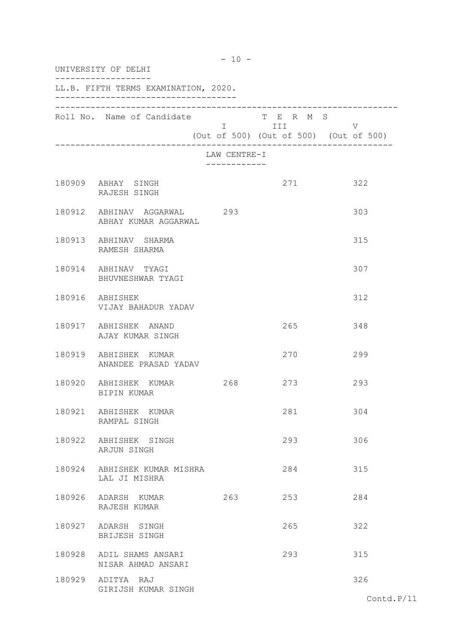| UNIVERSITY OF DELHI                                 |                             |                                       |                                             |  |
|-----------------------------------------------------|-----------------------------|---------------------------------------|---------------------------------------------|--|
| LL.B. FIFTH TERMS EXAMINATION, 2020.                |                             |                                       |                                             |  |
| Roll No. Name of Candidate                          |                             | T E R M S<br>I III DA SANTA DE L'ANTI | V<br>(Out of 500) (Out of 500) (Out of 500) |  |
|                                                     | LAW CENTRE-I<br>----------- |                                       |                                             |  |
| 180909 ABHAY SINGH<br>RAJESH SINGH                  |                             | 271                                   | 322                                         |  |
| 180912 ABHINAV AGGARWAL 293<br>ABHAY KUMAR AGGARWAL |                             |                                       | 303                                         |  |
| 180913 ABHINAV SHARMA<br>RAMESH SHARMA              |                             |                                       | 315                                         |  |
| 180914 ABHINAV TYAGI<br>BHUVNESHWAR TYAGI           |                             |                                       | 307                                         |  |
| 180916 ABHISHEK<br>VIJAY BAHADUR YADAV              |                             |                                       | 312                                         |  |
| 180917 ABHISHEK ANAND<br>AJAY KUMAR SINGH           |                             | 265                                   | 348                                         |  |
| 180919 ABHISHEK KUMAR<br>ANANDEE PRASAD YADAV       |                             | 270                                   | 299                                         |  |
| 180920 ABHISHEK KUMAR<br>BIPIN KUMAR                | 268                         | 273                                   | 293                                         |  |
| 180921 ABHISHEK KUMAR<br>RAMPAL SINGH               |                             | 281                                   | 304                                         |  |
| 180922 ABHISHEK SINGH<br>ARJUN SINGH                |                             | 293                                   | 306                                         |  |
| 180924 ABHISHEK KUMAR MISHRA<br>LAL JI MISHRA       |                             | 284                                   | 315                                         |  |
| 180926 ADARSH KUMAR<br>RAJESH KUMAR                 | 263                         | 253                                   | 284                                         |  |
| 180927 ADARSH SINGH<br>BRIJESH SINGH                |                             | 265                                   | 322                                         |  |
| 180928 ADIL SHAMS ANSARI<br>NISAR AHMAD ANSARI      |                             | 293                                   | 315                                         |  |
| 180929 ADITYA RAJ<br>GIRIJSH KUMAR SINGH            |                             |                                       | 326                                         |  |

- 10 -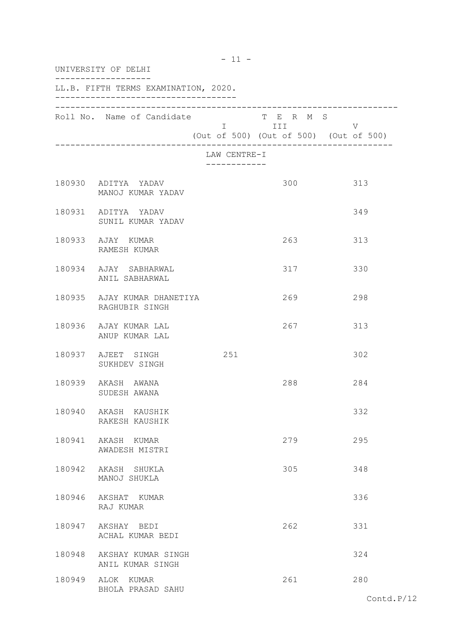| UNIVERSITY OF DELHI |                                               |                              |                                                              |     |
|---------------------|-----------------------------------------------|------------------------------|--------------------------------------------------------------|-----|
|                     | LL.B. FIFTH TERMS EXAMINATION, 2020.          |                              |                                                              |     |
|                     | Roll No. Name of Candidate                    |                              | T E R M S<br>I III<br>(Out of 500) (Out of 500) (Out of 500) | V   |
|                     |                                               | LAW CENTRE-I<br>------------ |                                                              |     |
|                     | 180930 ADITYA YADAV<br>MANOJ KUMAR YADAV      |                              | 300                                                          | 313 |
|                     | 180931 ADITYA YADAV<br>SUNIL KUMAR YADAV      |                              |                                                              | 349 |
|                     | 180933 AJAY KUMAR<br>RAMESH KUMAR             |                              | 263                                                          | 313 |
|                     | 180934 AJAY SABHARWAL<br>ANIL SABHARWAL       |                              | 317                                                          | 330 |
|                     | 180935 AJAY KUMAR DHANETIYA<br>RAGHUBIR SINGH |                              | 269                                                          | 298 |
|                     | 180936 AJAY KUMAR LAL<br>ANUP KUMAR LAL       |                              | 267                                                          | 313 |
|                     | 180937 AJEET SINGH<br>SUKHDEV SINGH           | 251                          |                                                              | 302 |
|                     | 180939 AKASH AWANA<br>SUDESH AWANA            |                              | 288                                                          | 284 |
|                     | 180940 AKASH KAUSHIK<br>RAKESH KAUSHIK        |                              |                                                              | 332 |
|                     | 180941 AKASH KUMAR<br>AWADESH MISTRI          |                              | 279                                                          | 295 |
|                     | 180942 AKASH SHUKLA<br>MANOJ SHUKLA           |                              | 305                                                          | 348 |
|                     | 180946 AKSHAT KUMAR<br>RAJ KUMAR              |                              |                                                              | 336 |
|                     | 180947 AKSHAY BEDI<br>ACHAL KUMAR BEDI        |                              | 262                                                          | 331 |
|                     | 180948 AKSHAY KUMAR SINGH<br>ANIL KUMAR SINGH |                              |                                                              | 324 |
|                     | 180949 ALOK KUMAR<br>BHOLA PRASAD SAHU        |                              | 261                                                          | 280 |

 $- 11 -$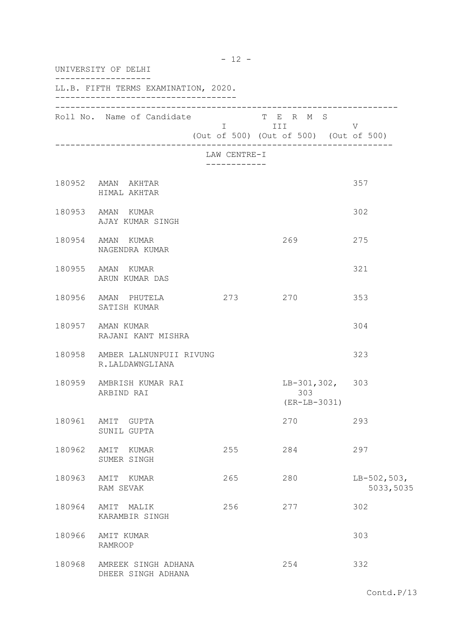| UNIVERSITY OF DELHI |                                                   |                            |                                                     |                            |  |
|---------------------|---------------------------------------------------|----------------------------|-----------------------------------------------------|----------------------------|--|
|                     | LL.B. FIFTH TERMS EXAMINATION, 2020.              |                            |                                                     |                            |  |
|                     | Roll No. Name of Candidate                        | <b>Example 111</b>         | T E R M S<br>(Out of 500) (Out of 500) (Out of 500) | V                          |  |
|                     |                                                   | LAW CENTRE-I<br>. <u>.</u> |                                                     |                            |  |
|                     | 180952 AMAN AKHTAR<br>HIMAL AKHTAR                |                            |                                                     | 357                        |  |
|                     | 180953 AMAN KUMAR<br>AJAY KUMAR SINGH             |                            |                                                     | 302                        |  |
|                     | 180954 AMAN KUMAR<br>NAGENDRA KUMAR               |                            | 269                                                 | 275                        |  |
|                     | 180955 AMAN KUMAR<br>ARUN KUMAR DAS               |                            |                                                     | 321                        |  |
|                     | 180956 AMAN PHUTELA<br>SATISH KUMAR               | 273                        | 270                                                 | 353                        |  |
|                     | 180957 AMAN KUMAR<br>RAJANI KANT MISHRA           |                            |                                                     | 304                        |  |
|                     | 180958 AMBER LALNUNPUII RIVUNG<br>R.LALDAWNGLIANA |                            |                                                     | 323                        |  |
|                     | 180959 AMBRISH KUMAR RAI<br>ARBIND RAI            |                            | $LB-301, 302, 303$<br>303<br>$(ER-LB-3031)$         |                            |  |
| 180961              | AMIT GUPTA<br>SUNIL GUPTA                         |                            | 270                                                 | 293                        |  |
| 180962              | AMIT KUMAR<br>SUMER SINGH                         | 255                        | 284                                                 | 297                        |  |
| 180963              | AMIT KUMAR<br>RAM SEVAK                           | 265                        | 280                                                 | $LB-502,503,$<br>5033,5035 |  |
| 180964              | AMIT MALIK<br>KARAMBIR SINGH                      | 256                        | 277                                                 | 302                        |  |
| 180966              | AMIT KUMAR<br><b>RAMROOP</b>                      |                            |                                                     | 303                        |  |
| 180968              | AMREEK SINGH ADHANA<br>DHEER SINGH ADHANA         |                            | 254                                                 | 332                        |  |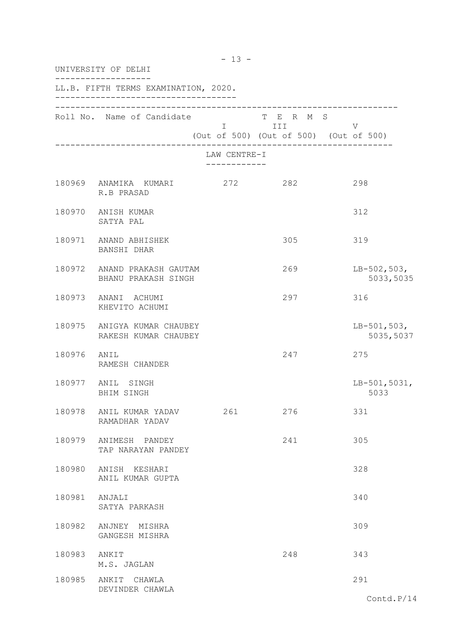| UNIVERSITY OF DELHI |                                                     |                                           |                         |                                             |  |
|---------------------|-----------------------------------------------------|-------------------------------------------|-------------------------|---------------------------------------------|--|
|                     | LL.B. FIFTH TERMS EXAMINATION, 2020.                |                                           |                         |                                             |  |
|                     | Roll No. Name of Candidate                          |                                           | T E R M S<br>I III DATU | V<br>(Out of 500) (Out of 500) (Out of 500) |  |
|                     |                                                     | LAW CENTRE-I<br>. _ _ _ _ _ _ _ _ _ _ _ _ |                         |                                             |  |
|                     | 180969 ANAMIKA KUMARI 272 282<br>R.B PRASAD         |                                           |                         | 298                                         |  |
|                     | 180970 ANISH KUMAR<br>SATYA PAL                     |                                           |                         | 312                                         |  |
|                     | 180971 ANAND ABHISHEK<br>BANSHI DHAR                |                                           | 305                     | 319                                         |  |
|                     | 180972 ANAND PRAKASH GAUTAM<br>BHANU PRAKASH SINGH  |                                           | 269                     | $LB-502,503,$<br>5033,5035                  |  |
|                     | 180973 ANANI ACHUMI<br>KHEVITO ACHUMI               |                                           | 297                     | 316                                         |  |
|                     | 180975 ANIGYA KUMAR CHAUBEY<br>RAKESH KUMAR CHAUBEY |                                           |                         | $LB-501,503,$<br>5035,5037                  |  |
| 180976 ANIL         | RAMESH CHANDER                                      |                                           | 247                     | 275                                         |  |
|                     | 180977 ANIL SINGH<br>BHIM SINGH                     |                                           |                         | $LB-501,5031,$<br>5033                      |  |
| 180978              | ANIL KUMAR YADAV<br>RAMADHAR YADAV                  | 261                                       | 276                     | 331                                         |  |
|                     | 180979 ANIMESH PANDEY<br>TAP NARAYAN PANDEY         |                                           | 241                     | 305                                         |  |
| 180980              | ANISH KESHARI<br>ANIL KUMAR GUPTA                   |                                           |                         | 328                                         |  |
| 180981 ANJALI       | SATYA PARKASH                                       |                                           |                         | 340                                         |  |
| 180982              | ANJNEY MISHRA<br>GANGESH MISHRA                     |                                           |                         | 309                                         |  |
| 180983              | ANKIT<br>M.S. JAGLAN                                |                                           | 248                     | 343                                         |  |
|                     | 180985 ANKIT CHAWLA<br>DEVINDER CHAWLA              |                                           |                         | 291                                         |  |

- 13 -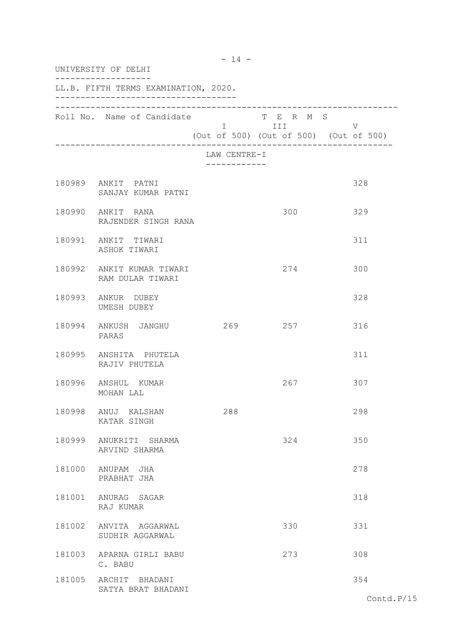| UNIVERSITY OF DELHI |                                               |                              |                         |                                             |  |
|---------------------|-----------------------------------------------|------------------------------|-------------------------|---------------------------------------------|--|
|                     | LL.B. FIFTH TERMS EXAMINATION, 2020.          |                              |                         |                                             |  |
|                     | Roll No. Name of Candidate                    |                              | T E R M S<br>I III DATU | V<br>(Out of 500) (Out of 500) (Out of 500) |  |
|                     |                                               | LAW CENTRE-I<br>------------ |                         |                                             |  |
|                     | 180989 ANKIT PATNI<br>SANJAY KUMAR PATNI      |                              |                         | 328                                         |  |
|                     | 180990 ANKIT RANA<br>RAJENDER SINGH RANA      |                              | 300                     | 329                                         |  |
|                     | 180991 ANKIT TIWARI<br>ASHOK TIWARI           |                              |                         | 311                                         |  |
|                     | 180992 ANKIT KUMAR TIWARI<br>RAM DULAR TIWARI |                              | 274                     | 300                                         |  |
|                     | 180993 ANKUR DUBEY<br>UMESH DUBEY             |                              |                         | 328                                         |  |
|                     | 180994 ANKUSH JANGHU<br>PARAS                 | 269                          | 257                     | 316                                         |  |
|                     | 180995 ANSHITA PHUTELA<br>RAJIV PHUTELA       |                              |                         | 311                                         |  |
|                     | 180996 ANSHUL KUMAR<br>MOHAN LAL              |                              | 267                     | 307                                         |  |
| 180998              | ANUJ KALSHAN<br>KATAR SINGH                   | 288                          |                         | 298                                         |  |
|                     | 180999 ANUKRITI SHARMA<br>ARVIND SHARMA       |                              | 324                     | 350                                         |  |
|                     | 181000 ANUPAM JHA<br>PRABHAT JHA              |                              |                         | 278                                         |  |
|                     | 181001 ANURAG SAGAR<br>RAJ KUMAR              |                              |                         | 318                                         |  |
|                     | 181002 ANVITA AGGARWAL<br>SUDHIR AGGARWAL     |                              | 330                     | 331                                         |  |
|                     | 181003 APARNA GIRLI BABU<br>C. BABU           |                              | 273                     | 308                                         |  |
|                     | 181005 ARCHIT BHADANI<br>SATYA BRAT BHADANI   |                              |                         | 354                                         |  |

- 14 -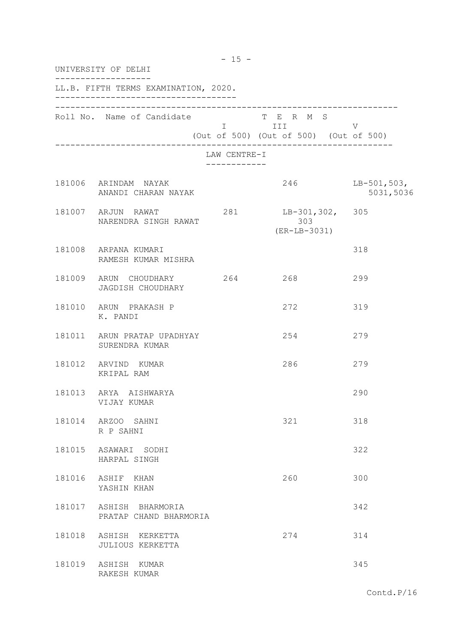| UNIVERSITY OF DELHI |                                                |                                           |                                                                                                                                                                                                                                                                                       |                            |  |
|---------------------|------------------------------------------------|-------------------------------------------|---------------------------------------------------------------------------------------------------------------------------------------------------------------------------------------------------------------------------------------------------------------------------------------|----------------------------|--|
|                     | LL.B. FIFTH TERMS EXAMINATION, 2020.           |                                           |                                                                                                                                                                                                                                                                                       |                            |  |
|                     | Roll No. Name of Candidate                     |                                           | T E R M S<br>I III DA SANTA DE LA TITULA DE LA CATALLA DE LA CATALLA DE LA CATALLA DE LA CATALLA DE LA CATALLA DE LA CATAL<br>DE LA CATALLA DE LA CATALLA DE LA CATALLA DE LA CATALLA DE LA CATALLA DE LA CATALLA DE LA CATALLA DE LA CATAL<br>(Out of 500) (Out of 500) (Out of 500) | V                          |  |
|                     |                                                | LAW CENTRE-I<br>. _ _ _ _ _ _ _ _ _ _ _ _ |                                                                                                                                                                                                                                                                                       |                            |  |
|                     | 181006 ARINDAM NAYAK<br>ANANDI CHARAN NAYAK    |                                           | 246                                                                                                                                                                                                                                                                                   | $LB-501,503,$<br>5031,5036 |  |
|                     | 181007 ARJUN RAWAT<br>NARENDRA SINGH RAWAT     | 281                                       | $LB-301,302, 305$<br>303<br>$(ER-LB-3031)$                                                                                                                                                                                                                                            |                            |  |
|                     | 181008 ARPANA KUMARI<br>RAMESH KUMAR MISHRA    |                                           |                                                                                                                                                                                                                                                                                       | 318                        |  |
|                     | 181009 ARUN CHOUDHARY 264<br>JAGDISH CHOUDHARY |                                           | 268                                                                                                                                                                                                                                                                                   | 299                        |  |
|                     | 181010 ARUN PRAKASH P<br>K. PANDI              |                                           | 272                                                                                                                                                                                                                                                                                   | 319                        |  |
|                     | 181011 ARUN PRATAP UPADHYAY<br>SURENDRA KUMAR  |                                           | 254                                                                                                                                                                                                                                                                                   | 279                        |  |
|                     | 181012 ARVIND KUMAR<br>KRIPAL RAM              |                                           | 286                                                                                                                                                                                                                                                                                   | 279                        |  |
|                     | 181013 ARYA AISHWARYA<br>VIJAY KUMAR           |                                           |                                                                                                                                                                                                                                                                                       | 290                        |  |
|                     | 181014 ARZOO SAHNI<br>R P SAHNI                |                                           | 321                                                                                                                                                                                                                                                                                   | 318                        |  |
| 181015              | ASAWARI SODHI<br>HARPAL SINGH                  |                                           |                                                                                                                                                                                                                                                                                       | 322                        |  |
| 181016              | ASHIF KHAN<br>YASHIN KHAN                      |                                           | 260                                                                                                                                                                                                                                                                                   | 300                        |  |
| 181017              | ASHISH BHARMORIA<br>PRATAP CHAND BHARMORIA     |                                           |                                                                                                                                                                                                                                                                                       | 342                        |  |
| 181018              | ASHISH KERKETTA<br>JULIOUS KERKETTA            |                                           | 274                                                                                                                                                                                                                                                                                   | 314                        |  |
| 181019              | ASHISH KUMAR<br>RAKESH KUMAR                   |                                           |                                                                                                                                                                                                                                                                                       | 345                        |  |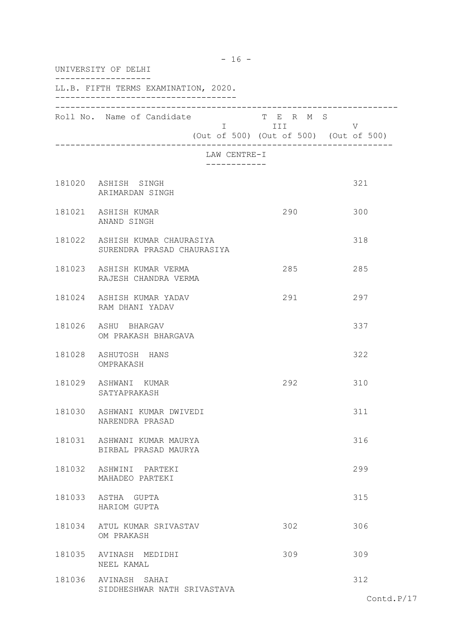| UNIVERSITY OF DELHI                                          |                              |                                                                   |     |
|--------------------------------------------------------------|------------------------------|-------------------------------------------------------------------|-----|
| LL.B. FIFTH TERMS EXAMINATION, 2020.                         |                              |                                                                   |     |
| Roll No. Name of Candidate                                   |                              | T E R M S<br>I III DATU<br>(Out of 500) (Out of 500) (Out of 500) | V   |
|                                                              | LAW CENTRE-I<br>------------ |                                                                   |     |
| 181020 ASHISH SINGH<br>ARIMARDAN SINGH                       |                              |                                                                   | 321 |
| 181021 ASHISH KUMAR<br>ANAND SINGH                           |                              | 290                                                               | 300 |
| 181022 ASHISH KUMAR CHAURASIYA<br>SURENDRA PRASAD CHAURASIYA |                              |                                                                   | 318 |
| 181023 ASHISH KUMAR VERMA<br>RAJESH CHANDRA VERMA            |                              | 285                                                               | 285 |
| 181024 ASHISH KUMAR YADAV<br>RAM DHANI YADAV                 |                              | 291                                                               | 297 |
| 181026 ASHU BHARGAV<br>OM PRAKASH BHARGAVA                   |                              |                                                                   | 337 |
| 181028 ASHUTOSH HANS<br>OMPRAKASH                            |                              |                                                                   | 322 |
| 181029 ASHWANI KUMAR<br>SATYAPRAKASH                         |                              | 292                                                               | 310 |
| 181030 ASHWANI KUMAR DWIVEDI<br>NARENDRA PRASAD              |                              |                                                                   | 311 |
| 181031 ASHWANI KUMAR MAURYA<br>BIRBAL PRASAD MAURYA          |                              |                                                                   | 316 |
| 181032 ASHWINI PARTEKI<br>MAHADEO PARTEKI                    |                              |                                                                   | 299 |
| 181033 ASTHA GUPTA<br>HARIOM GUPTA                           |                              |                                                                   | 315 |
| 181034 ATUL KUMAR SRIVASTAV<br>OM PRAKASH                    |                              | 302                                                               | 306 |
| 181035 AVINASH MEDIDHI<br>NEEL KAMAL                         |                              | 309                                                               | 309 |
| 181036 AVINASH SAHAI<br>SIDDHESHWAR NATH SRIVASTAVA          |                              |                                                                   | 312 |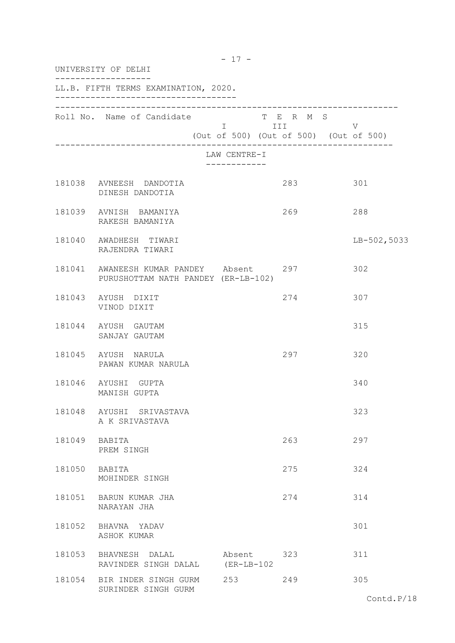| UNIVERSITY OF DELHI |                                                                                |                             |                                                                |             |  |
|---------------------|--------------------------------------------------------------------------------|-----------------------------|----------------------------------------------------------------|-------------|--|
|                     | LL.B. FIFTH TERMS EXAMINATION, 2020.                                           |                             |                                                                |             |  |
|                     | Roll No. Name of Candidate                                                     |                             | T E R M S<br>I III V<br>(Out of 500) (Out of 500) (Out of 500) |             |  |
|                     |                                                                                | LAW CENTRE-I                |                                                                |             |  |
|                     | 181038 AVNEESH DANDOTIA<br>DINESH DANDOTIA                                     |                             | 283                                                            | 301         |  |
|                     | 181039 AVNISH BAMANIYA<br>RAKESH BAMANIYA                                      |                             | 269                                                            | 288         |  |
|                     | 181040 AWADHESH TIWARI<br>RAJENDRA TIWARI                                      |                             |                                                                | LB-502,5033 |  |
|                     | 181041 AWANEESH KUMAR PANDEY Absent 297<br>PURUSHOTTAM NATH PANDEY (ER-LB-102) |                             | 302                                                            |             |  |
|                     | 181043 AYUSH DIXIT<br>VINOD DIXIT                                              |                             | 274                                                            | 307         |  |
|                     | 181044 AYUSH GAUTAM<br>SANJAY GAUTAM                                           |                             |                                                                | 315         |  |
|                     | 181045 AYUSH NARULA<br>PAWAN KUMAR NARULA                                      |                             | 297                                                            | 320         |  |
|                     | 181046 AYUSHI GUPTA<br>MANISH GUPTA                                            |                             |                                                                | 340         |  |
| 181048              | AYUSHI SRIVASTAVA<br>A K SRIVASTAVA                                            |                             |                                                                | 323         |  |
|                     | 181049 BABITA<br>PREM SINGH                                                    |                             | 263                                                            | 297         |  |
| 181050 BABITA       | MOHINDER SINGH                                                                 |                             | 275                                                            | 324         |  |
|                     | 181051 BARUN KUMAR JHA<br>NARAYAN JHA                                          |                             | 274                                                            | 314         |  |
| 181052              | BHAVNA YADAV<br>ASHOK KUMAR                                                    |                             |                                                                | 301         |  |
|                     | 181053 BHAVNESH DALAL<br>RAVINDER SINGH DALAL                                  | Absent 323<br>$(ER-LB-102)$ |                                                                | 311         |  |
|                     | 181054 BIR INDER SINGH GURM<br>SURINDER SINGH GURM                             | 253                         | 249                                                            | 305         |  |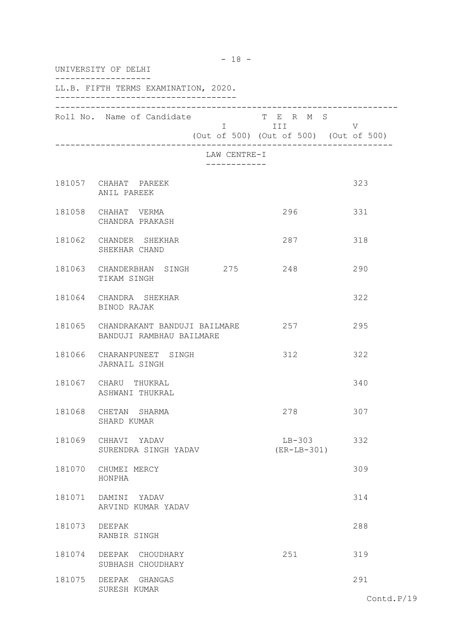| UNIVERSITY OF DELHI |                                                                 |                              |                                                                   |     |
|---------------------|-----------------------------------------------------------------|------------------------------|-------------------------------------------------------------------|-----|
|                     | LL.B. FIFTH TERMS EXAMINATION, 2020.                            |                              |                                                                   |     |
|                     | Roll No. Name of Candidate                                      |                              | T E R M S<br>I III DATU<br>(Out of 500) (Out of 500) (Out of 500) | V   |
|                     |                                                                 | LAW CENTRE-I<br>------------ |                                                                   |     |
|                     | 181057 CHAHAT PAREEK<br>ANIL PAREEK                             |                              |                                                                   | 323 |
|                     | 181058 CHAHAT VERMA<br>CHANDRA PRAKASH                          |                              | 296                                                               | 331 |
|                     | 181062 CHANDER SHEKHAR<br>SHEKHAR CHAND                         |                              | 287                                                               | 318 |
|                     | 181063 CHANDERBHAN SINGH 275 248<br>TIKAM SINGH                 |                              |                                                                   | 290 |
|                     | 181064 CHANDRA SHEKHAR<br>BINOD RAJAK                           |                              |                                                                   | 322 |
|                     | 181065 CHANDRAKANT BANDUJI BAILMARE<br>BANDUJI RAMBHAU BAILMARE |                              | 257                                                               | 295 |
|                     | 181066 CHARANPUNEET SINGH<br>JARNAIL SINGH                      |                              | 312                                                               | 322 |
|                     | 181067 CHARU THUKRAL<br>ASHWANI THUKRAL                         |                              |                                                                   | 340 |
| 181068              | CHETAN SHARMA<br>SHARD KUMAR                                    |                              | 278                                                               | 307 |
|                     | 181069 CHHAVI YADAV<br>SURENDRA SINGH YADAV                     |                              | $LB-303$<br>$(ER-LB-301)$                                         | 332 |
|                     | 181070 CHUMEI MERCY<br>HONPHA                                   |                              |                                                                   | 309 |
|                     | 181071 DAMINI YADAV<br>ARVIND KUMAR YADAV                       |                              |                                                                   | 314 |
| 181073              | DEEPAK<br>RANBIR SINGH                                          |                              |                                                                   | 288 |
| 181074              | DEEPAK CHOUDHARY<br>SUBHASH CHOUDHARY                           |                              | 251                                                               | 319 |
|                     | 181075 DEEPAK GHANGAS<br>SURESH KUMAR                           |                              |                                                                   | 291 |

- 18 -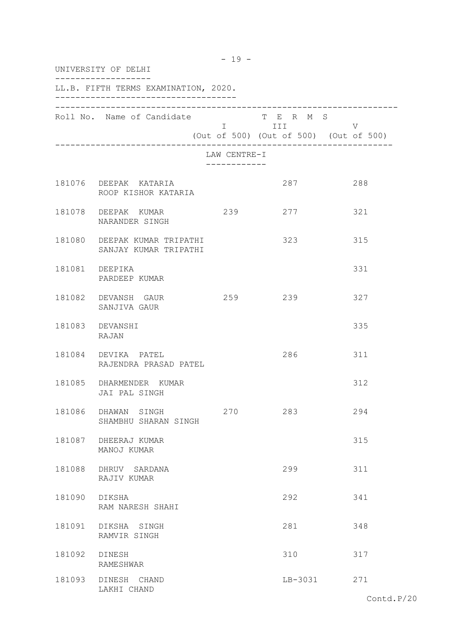| UNIVERSITY OF DELHI |                                                       |                                           |           |                                             |  |
|---------------------|-------------------------------------------------------|-------------------------------------------|-----------|---------------------------------------------|--|
|                     | LL.B. FIFTH TERMS EXAMINATION, 2020.                  |                                           |           |                                             |  |
|                     | Roll No. Name of Candidate                            |                                           | T E R M S | V<br>(Out of 500) (Out of 500) (Out of 500) |  |
|                     |                                                       | LAW CENTRE-I<br>- - - - - - - - - - - - - |           |                                             |  |
|                     | 181076 DEEPAK KATARIA<br>ROOP KISHOR KATARIA          |                                           | 287       | 288                                         |  |
|                     | 181078 DEEPAK KUMAR<br>NARANDER SINGH                 | 239                                       | 277       | 321                                         |  |
|                     | 181080 DEEPAK KUMAR TRIPATHI<br>SANJAY KUMAR TRIPATHI |                                           | 323       | 315                                         |  |
|                     | 181081 DEEPIKA<br>PARDEEP KUMAR                       |                                           |           | 331                                         |  |
|                     | 181082 DEVANSH GAUR<br>SANJIVA GAUR                   |                                           | 259 239   | 327                                         |  |
|                     | 181083 DEVANSHI<br>RAJAN                              |                                           |           | 335                                         |  |
|                     | 181084 DEVIKA PATEL<br>RAJENDRA PRASAD PATEL          |                                           | 286       | 311                                         |  |
|                     | 181085 DHARMENDER KUMAR<br>JAI PAL SINGH              |                                           |           | 312                                         |  |
| 181086              | DHAWAN<br>SINGH<br>SHAMBHU SHARAN SINGH               | 270                                       | 283       | 294                                         |  |
|                     | 181087 DHEERAJ KUMAR<br>MANOJ KUMAR                   |                                           |           | 315                                         |  |
|                     | 181088 DHRUV SARDANA<br>RAJIV KUMAR                   |                                           | 299       | 311                                         |  |
| 181090              | DIKSHA<br>RAM NARESH SHAHI                            |                                           | 292       | 341                                         |  |
| 181091              | DIKSHA SINGH<br>RAMVIR SINGH                          |                                           | 281       | 348                                         |  |
| 181092              | DINESH<br>RAMESHWAR                                   |                                           | 310       | 317                                         |  |
| 181093              | DINESH CHAND<br>LAKHI CHAND                           |                                           | LB-3031   | 271                                         |  |

- 19 -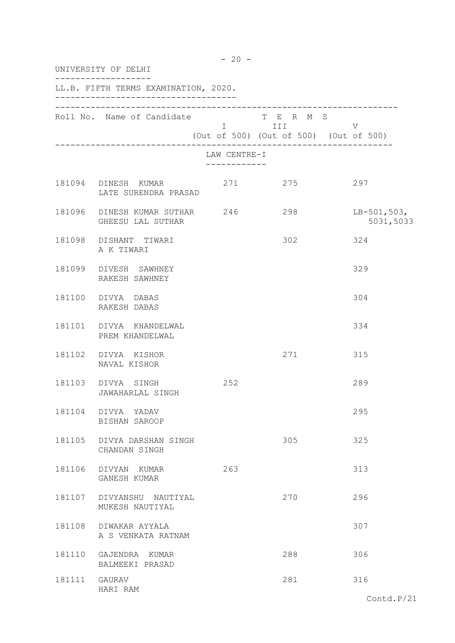|               | UNIVERSITY OF DELHI                                 |              |                                                   |                          |  |  |
|---------------|-----------------------------------------------------|--------------|---------------------------------------------------|--------------------------|--|--|
|               | LL.B. FIFTH TERMS EXAMINATION, 2020.                |              |                                                   |                          |  |  |
|               | Roll No. Name of Candidate T E R M S                |              | I III V<br>(Out of 500) (Out of 500) (Out of 500) |                          |  |  |
|               |                                                     | LAW CENTRE-I |                                                   |                          |  |  |
|               | 181094 DINESH KUMAR<br>LATE SURENDRA PRASAD         |              | 271 275                                           | 297                      |  |  |
|               | 181096 DINESH KUMAR SUTHAR 246<br>GHEESU LAL SUTHAR |              | 298                                               | LB-501,503,<br>5031,5033 |  |  |
|               | 181098 DISHANT TIWARI<br>A K TIWARI                 |              | 302                                               | 324                      |  |  |
|               | 181099 DIVESH SAWHNEY<br>RAKESH SAWHNEY             |              |                                                   | 329                      |  |  |
|               | 181100 DIVYA DABAS<br>RAKESH DABAS                  |              |                                                   | 304                      |  |  |
|               | 181101 DIVYA KHANDELWAL<br>PREM KHANDELWAL          |              |                                                   | 334                      |  |  |
|               | 181102 DIVYA KISHOR<br>NAVAL KISHOR                 |              | 271                                               | 315                      |  |  |
|               | 181103 DIVYA SINGH<br>JAWAHARLAL SINGH              | 252          |                                                   | 289                      |  |  |
|               | 181104 DIVYA YADAV<br>BISHAN SAROOP                 |              |                                                   | 295                      |  |  |
|               | 181105 DIVYA DARSHAN SINGH<br>CHANDAN SINGH         |              | 305                                               | 325                      |  |  |
|               | 181106 DIVYAN KUMAR<br>GANESH KUMAR                 | 263          |                                                   | 313                      |  |  |
|               | 181107 DIVYANSHU NAUTIYAL<br>MUKESH NAUTIYAL        |              | 270                                               | 296                      |  |  |
|               | 181108 DIWAKAR AYYALA<br>A S VENKATA RATNAM         |              |                                                   | 307                      |  |  |
|               | 181110 GAJENDRA KUMAR<br>BALMEEKI PRASAD            |              | 288                                               | 306                      |  |  |
| 181111 GAURAV | HARI RAM                                            |              | 281                                               | 316                      |  |  |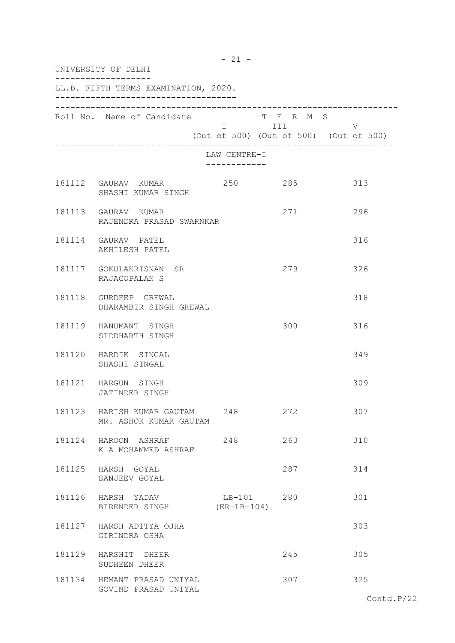| UNIVERSITY OF DELHI |                                                      |              |                                                                                                                                                                                                                                             |                                             |  |
|---------------------|------------------------------------------------------|--------------|---------------------------------------------------------------------------------------------------------------------------------------------------------------------------------------------------------------------------------------------|---------------------------------------------|--|
|                     | LL.B. FIFTH TERMS EXAMINATION, 2020.                 |              |                                                                                                                                                                                                                                             |                                             |  |
|                     | Roll No. Name of Candidate                           |              | T E R M S<br>I III DA SANTA DE LA TITULA DE LA CATALLA DE LA CATALLA DE LA CATALLA DE LA CATALLA DE LA CATALLA DE LA CATAL<br>DE LA CATALLA DE LA CATALLA DE LA CATALLA DE LA CATALLA DE LA CATALLA DE LA CATALLA DE LA CATALLA DE LA CATAL | V<br>(Out of 500) (Out of 500) (Out of 500) |  |
|                     |                                                      | LAW CENTRE-I |                                                                                                                                                                                                                                             |                                             |  |
|                     | 181112 GAURAV KUMAR<br>SHASHI KUMAR SINGH            | 250          | 285                                                                                                                                                                                                                                         | 313                                         |  |
|                     | 181113 GAURAV KUMAR<br>RAJENDRA PRASAD SWARNKAR      |              | 271                                                                                                                                                                                                                                         | 296                                         |  |
|                     | 181114 GAURAV PATEL<br>AKHILESH PATEL                |              |                                                                                                                                                                                                                                             | 316                                         |  |
|                     | 181117 GOKULAKRISNAN SR<br>RAJAGOPALAN S             |              | 279                                                                                                                                                                                                                                         | 326                                         |  |
|                     | 181118 GURDEEP GREWAL<br>DHARAMBIR SINGH GREWAL      |              |                                                                                                                                                                                                                                             | 318                                         |  |
|                     | 181119 HANUMANT SINGH<br>SIDDHARTH SINGH             |              | 300                                                                                                                                                                                                                                         | 316                                         |  |
|                     | 181120 HARDIK SINGAL<br>SHASHI SINGAL                |              |                                                                                                                                                                                                                                             | 349                                         |  |
|                     | 181121 HARGUN SINGH<br>JATINDER SINGH                |              |                                                                                                                                                                                                                                             | 309                                         |  |
|                     | 181123 HARISH KUMAR GAUTAM<br>MR. ASHOK KUMAR GAUTAM | 248          | 272                                                                                                                                                                                                                                         | 307                                         |  |
|                     | 181124 HAROON ASHRAF<br>K A MOHAMMED ASHRAF          | 248          | 263                                                                                                                                                                                                                                         | 310                                         |  |
|                     | 181125 HARSH GOYAL<br>SANJEEV GOYAL                  |              | 287                                                                                                                                                                                                                                         | 314                                         |  |
|                     | 181126 HARSH YADAV<br>BIRENDER SINGH (ER-LB-104)     | LB-101 280   |                                                                                                                                                                                                                                             | 301                                         |  |
|                     | 181127 HARSH ADITYA OJHA<br>GIRINDRA OSHA            |              |                                                                                                                                                                                                                                             | 303                                         |  |
|                     | 181129 HARSHIT DHEER<br>SUDHEEN DHEER                |              | 245                                                                                                                                                                                                                                         | 305                                         |  |
|                     | 181134 HEMANT PRASAD UNIYAL<br>GOVIND PRASAD UNIYAL  |              | 307                                                                                                                                                                                                                                         | 325                                         |  |

 $- 21 -$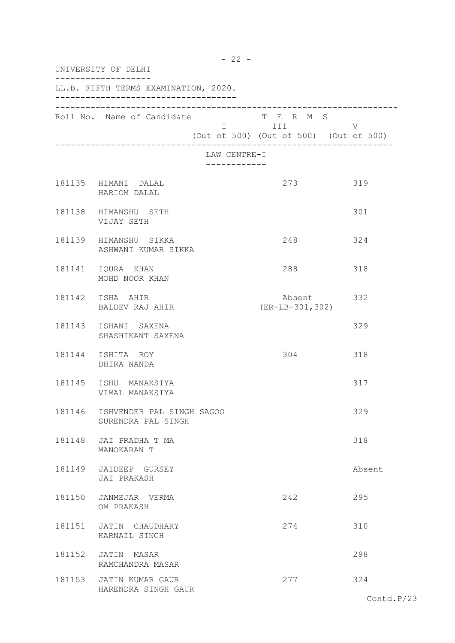| UNIVERSITY OF DELHI |                                                 |                              |                                                                                                                                                                                                                                                                                        |        |  |
|---------------------|-------------------------------------------------|------------------------------|----------------------------------------------------------------------------------------------------------------------------------------------------------------------------------------------------------------------------------------------------------------------------------------|--------|--|
|                     | LL.B. FIFTH TERMS EXAMINATION, 2020.            |                              |                                                                                                                                                                                                                                                                                        |        |  |
|                     | Roll No. Name of Candidate                      |                              | T E R M S<br>I III DA SANTA DE LA TITULA DE LA CATALLA DE LA CATALLA DE LA CATALLA DE LA CATALLA DE LA CATALLA DE LA CATAL<br>DE LA CATALLA DE LA CATALLA DE LA CATALLA DE LA CATALLA DE LA CATALLA DE LA CATALLA DE LA CATALLA DE LA CATALL<br>(Out of 500) (Out of 500) (Out of 500) | V      |  |
|                     |                                                 | LAW CENTRE-I<br>------------ |                                                                                                                                                                                                                                                                                        |        |  |
|                     | 181135 HIMANI DALAL<br>HARIOM DALAL             |                              | 273                                                                                                                                                                                                                                                                                    | 319    |  |
|                     | 181138 HIMANSHU SETH<br>VIJAY SETH              |                              |                                                                                                                                                                                                                                                                                        | 301    |  |
|                     | 181139 HIMANSHU SIKKA<br>ASHWANI KUMAR SIKKA    |                              | 248                                                                                                                                                                                                                                                                                    | 324    |  |
|                     | 181141 IQURA KHAN<br>MOHD NOOR KHAN             |                              | 288                                                                                                                                                                                                                                                                                    | 318    |  |
|                     | 181142 ISHA AHIR<br>BALDEV RAJ AHIR             |                              | Absent 332<br>$(ER-LB-301, 302)$                                                                                                                                                                                                                                                       |        |  |
|                     | 181143 ISHANI SAXENA<br>SHASHIKANT SAXENA       |                              |                                                                                                                                                                                                                                                                                        | 329    |  |
|                     | 181144 ISHITA ROY<br>DHIRA NANDA                |                              | 304                                                                                                                                                                                                                                                                                    | 318    |  |
|                     | 181145 ISHU MANAKSIYA<br>VIMAL MANAKSIYA        |                              |                                                                                                                                                                                                                                                                                        | 317    |  |
| 181146              | ISHVENDER PAL SINGH SAGOO<br>SURENDRA PAL SINGH |                              |                                                                                                                                                                                                                                                                                        | 329    |  |
|                     | 181148 JAI PRADHA T MA<br>MANOKARAN T           |                              |                                                                                                                                                                                                                                                                                        | 318    |  |
|                     | 181149 JAIDEEP GURSEY<br>JAI PRAKASH            |                              |                                                                                                                                                                                                                                                                                        | Absent |  |
|                     | 181150 JANMEJAR VERMA<br>OM PRAKASH             |                              | 242                                                                                                                                                                                                                                                                                    | 295    |  |
| 181151              | JATIN CHAUDHARY<br>KARNAIL SINGH                |                              | 274                                                                                                                                                                                                                                                                                    | 310    |  |
|                     | 181152 JATIN MASAR<br>RAMCHANDRA MASAR          |                              |                                                                                                                                                                                                                                                                                        | 298    |  |
|                     | 181153 JATIN KUMAR GAUR<br>HARENDRA SINGH GAUR  |                              | 277                                                                                                                                                                                                                                                                                    | 324    |  |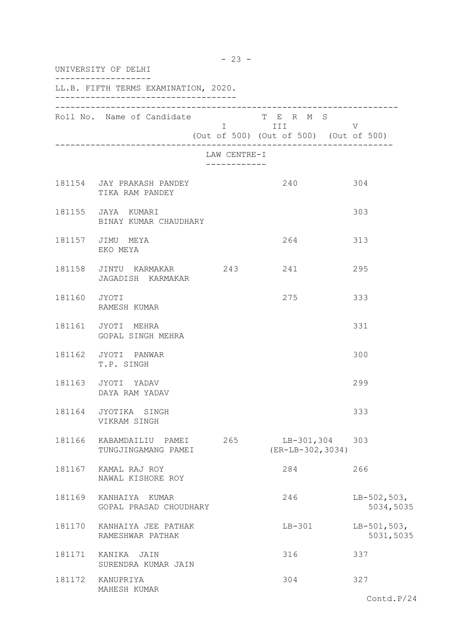|              | UNIVERSITY OF DELHI                                 |                                           |                                                                                                                                                                       |                            |
|--------------|-----------------------------------------------------|-------------------------------------------|-----------------------------------------------------------------------------------------------------------------------------------------------------------------------|----------------------------|
|              | LL.B. FIFTH TERMS EXAMINATION, 2020.                |                                           |                                                                                                                                                                       |                            |
|              | Roll No. Name of Candidate                          |                                           | T E R M S<br>i i statistik su se svjetlja i stari i stari i stari i stari i stari i stari i stari i stari i stari i stari i<br>(Out of 500) (Out of 500) (Out of 500) | V                          |
|              |                                                     | LAW CENTRE-I<br>. _ _ _ _ _ _ _ _ _ _ _ _ |                                                                                                                                                                       |                            |
|              | 181154 JAY PRAKASH PANDEY<br>TIKA RAM PANDEY        |                                           | 240                                                                                                                                                                   | 304                        |
|              | 181155 JAYA KUMARI<br>BINAY KUMAR CHAUDHARY         |                                           |                                                                                                                                                                       | 303                        |
|              | 181157 JIMU MEYA<br>EKO MEYA                        |                                           | 264                                                                                                                                                                   | 313                        |
|              | 181158 JINTU KARMAKAR 243 241<br>JAGADISH KARMAKAR  |                                           |                                                                                                                                                                       | 295                        |
| 181160 JYOTI | RAMESH KUMAR                                        |                                           | 275                                                                                                                                                                   | 333                        |
|              | 181161 JYOTI MEHRA<br>GOPAL SINGH MEHRA             |                                           |                                                                                                                                                                       | 331                        |
|              | 181162 JYOTI PANWAR<br>T.P. SINGH                   |                                           |                                                                                                                                                                       | 300                        |
|              | 181163 JYOTI YADAV<br>DAYA RAM YADAV                |                                           |                                                                                                                                                                       | 299                        |
|              | 181164 JYOTIKA SINGH<br>VIKRAM SINGH                |                                           |                                                                                                                                                                       | 333                        |
|              | 181166 KABAMDAILIU PAMEI 265<br>TUNGJINGAMANG PAMEI |                                           | LB-301,304 303<br>$(ER-LB-302, 3034)$                                                                                                                                 |                            |
|              | 181167 KAMAL RAJ ROY<br>NAWAL KISHORE ROY           |                                           | 284                                                                                                                                                                   | 266                        |
|              | 181169 KANHAIYA KUMAR<br>GOPAL PRASAD CHOUDHARY     |                                           | 246                                                                                                                                                                   | $LB-502,503,$<br>5034,5035 |
|              | 181170 KANHAIYA JEE PATHAK<br>RAMESHWAR PATHAK      |                                           | $LB-301$                                                                                                                                                              | $LB-501,503,$<br>5031,5035 |
|              | 181171 KANIKA JAIN<br>SURENDRA KUMAR JAIN           |                                           | 316                                                                                                                                                                   | 337                        |
|              | 181172 KANUPRIYA<br>MAHESH KUMAR                    |                                           | 304                                                                                                                                                                   | 327                        |

- 23 -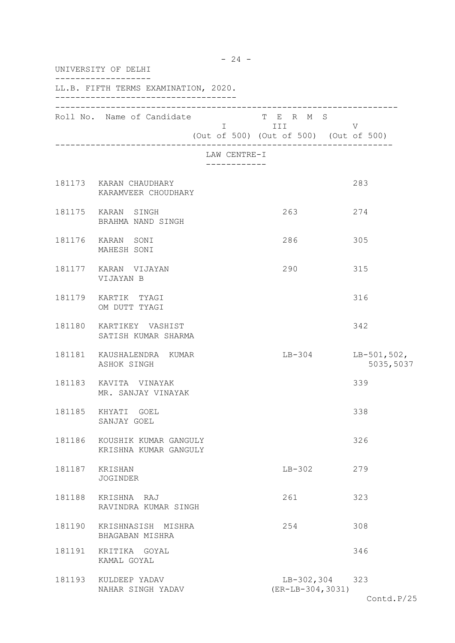| UNIVERSITY OF DELHI |                                                       |                             |                                                                |                          |  |
|---------------------|-------------------------------------------------------|-----------------------------|----------------------------------------------------------------|--------------------------|--|
|                     | LL.B. FIFTH TERMS EXAMINATION, 2020.                  |                             |                                                                |                          |  |
|                     | Roll No. Name of Candidate                            |                             | T E R M S<br>I III V<br>(Out of 500) (Out of 500) (Out of 500) |                          |  |
|                     |                                                       | LAW CENTRE-I<br>----------- |                                                                |                          |  |
|                     | 181173 KARAN CHAUDHARY<br>KARAMVEER CHOUDHARY         |                             |                                                                | 283                      |  |
|                     | 181175 KARAN SINGH<br>BRAHMA NAND SINGH               |                             | 263                                                            | 274                      |  |
|                     | 181176 KARAN SONI<br>MAHESH SONI                      |                             | 286                                                            | 305                      |  |
|                     | 181177 KARAN VIJAYAN<br>VIJAYAN B                     |                             | 290                                                            | 315                      |  |
|                     | 181179 KARTIK TYAGI<br>OM DUTT TYAGI                  |                             |                                                                | 316                      |  |
|                     | 181180 KARTIKEY VASHIST<br>SATISH KUMAR SHARMA        |                             |                                                                | 342                      |  |
|                     | 181181 KAUSHALENDRA KUMAR<br>ASHOK SINGH              |                             | $LB-304$                                                       | LB-501,502,<br>5035,5037 |  |
|                     | 181183 KAVITA VINAYAK<br>MR. SANJAY VINAYAK           |                             |                                                                | 339                      |  |
| 181185              | KHYATI GOEL<br>SANJAY GOEL                            |                             |                                                                | 338                      |  |
|                     | 181186 KOUSHIK KUMAR GANGULY<br>KRISHNA KUMAR GANGULY |                             |                                                                | 326                      |  |
|                     | 181187 KRISHAN<br><b>JOGINDER</b>                     |                             | $LB-302$                                                       | 279                      |  |
| 181188              | KRISHNA RAJ<br>RAVINDRA KUMAR SINGH                   |                             | 261                                                            | 323                      |  |
|                     | 181190 KRISHNASISH MISHRA<br>BHAGABAN MISHRA          |                             | 254                                                            | 308                      |  |
|                     | 181191 KRITIKA GOYAL<br>KAMAL GOYAL                   |                             |                                                                | 346                      |  |
|                     | 181193 KULDEEP YADAV<br>NAHAR SINGH YADAV             |                             | $(ER-LB-304, 3031)$                                            | LB-302,304 323           |  |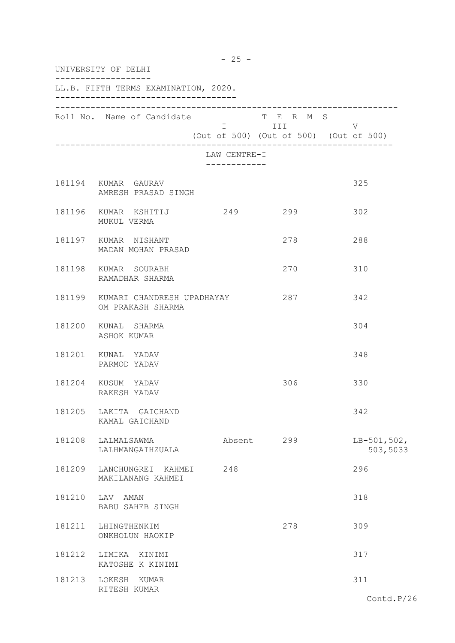| UNIVERSITY OF DELHI                                    |                                           |                                                   |                           |  |  |
|--------------------------------------------------------|-------------------------------------------|---------------------------------------------------|---------------------------|--|--|
| LL.B. FIFTH TERMS EXAMINATION, 2020.                   |                                           |                                                   |                           |  |  |
| Roll No. Name of Candidate T E R M S                   |                                           | I III V<br>(Out of 500) (Out of 500) (Out of 500) |                           |  |  |
|                                                        | LAW CENTRE-I<br>. _ _ _ _ _ _ _ _ _ _ _ _ |                                                   |                           |  |  |
| 181194 KUMAR GAURAV<br>AMRESH PRASAD SINGH             |                                           |                                                   | 325                       |  |  |
| MUKUL VERMA                                            |                                           | 299                                               | 302                       |  |  |
| 181197 KUMAR NISHANT<br>MADAN MOHAN PRASAD             |                                           | 278                                               | 288                       |  |  |
| 181198 KUMAR SOURABH<br>RAMADHAR SHARMA                |                                           | 270                                               | 310                       |  |  |
| 181199 KUMARI CHANDRESH UPADHAYAY<br>OM PRAKASH SHARMA |                                           | 287                                               | 342                       |  |  |
| 181200 KUNAL SHARMA<br>ASHOK KUMAR                     |                                           |                                                   | 304                       |  |  |
| 181201 KUNAL YADAV<br>PARMOD YADAV                     |                                           |                                                   | 348                       |  |  |
| 181204 KUSUM YADAV<br>RAKESH YADAV                     |                                           | 306                                               | 330                       |  |  |
| 181205 LAKITA GAICHAND<br>KAMAL GAICHAND               |                                           |                                                   | 342                       |  |  |
| 181208 LALMALSAWMA<br>LALHMANGAIHZUALA                 |                                           | Absent 299                                        | $LB-501,502,$<br>503,5033 |  |  |
| 181209 LANCHUNGREI KAHMEI<br>MAKILANANG KAHMEI         | 248                                       |                                                   | 296                       |  |  |
| 181210 LAV AMAN<br>BABU SAHEB SINGH                    |                                           |                                                   | 318                       |  |  |
| 181211 LHINGTHENKIM<br>ONKHOLUN HAOKIP                 |                                           | 278                                               | 309                       |  |  |
| 181212 LIMIKA KINIMI<br>KATOSHE K KINIMI               |                                           |                                                   | 317                       |  |  |
| 181213 LOKESH KUMAR<br>RITESH KUMAR                    |                                           |                                                   | 311                       |  |  |

- 25 -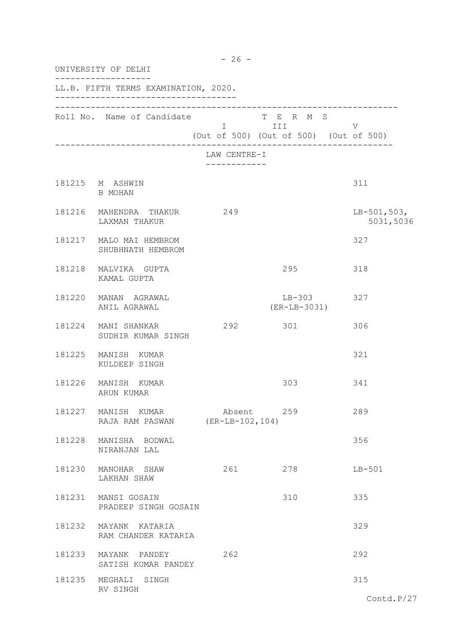| UNIVERSITY OF DELHI |                                                  |              |                                                                   |                            |  |  |
|---------------------|--------------------------------------------------|--------------|-------------------------------------------------------------------|----------------------------|--|--|
|                     | LL.B. FIFTH TERMS EXAMINATION, 2020.             |              |                                                                   |                            |  |  |
|                     | Roll No. Name of Candidate                       |              | T E R M S<br>I III DANI<br>(Out of 500) (Out of 500) (Out of 500) | V                          |  |  |
|                     |                                                  | LAW CENTRE-I |                                                                   |                            |  |  |
|                     | 181215 M ASHWIN<br>B MOHAN                       |              |                                                                   | 311                        |  |  |
|                     | 181216 MAHENDRA THAKUR<br>LAXMAN THAKUR          | 249          |                                                                   | $LB-501,503,$<br>5031,5036 |  |  |
|                     | 181217 MALO MAI HEMBROM<br>SHUBHNATH HEMBROM     |              |                                                                   | 327                        |  |  |
|                     | 181218 MALVIKA GUPTA<br>KAMAL GUPTA              |              | 295                                                               | 318                        |  |  |
|                     | 181220 MANAN AGRAWAL<br>ANIL AGRAWAL             |              | $LB-303$<br>$(ER-LB-3031)$                                        | 327                        |  |  |
|                     | 181224 MANI SHANKAR<br>SUDHIR KUMAR SINGH        | 292          | 301                                                               | 306                        |  |  |
| 181225              | MANISH KUMAR<br>KULDEEP SINGH                    |              |                                                                   | 321                        |  |  |
| 181226              | MANISH KUMAR<br>ARUN KUMAR                       |              | 303                                                               | 341                        |  |  |
| 181227              | MANISH KUMAR<br>RAJA RAM PASWAN (ER-LB-102, 104) | Absent       | 259                                                               | 289                        |  |  |
| 181228              | MANISHA BODWAL<br>NIRANJAN LAL                   |              |                                                                   | 356                        |  |  |
| 181230              | MANOHAR SHAW<br>LAKHAN SHAW                      | 261          | 278                                                               | $LB-501$                   |  |  |
| 181231              | MANSI GOSAIN<br>PRADEEP SINGH GOSAIN             |              | 310                                                               | 335                        |  |  |
| 181232              | MAYANK KATARIA<br>RAM CHANDER KATARIA            |              |                                                                   | 329                        |  |  |
|                     | 181233 MAYANK PANDEY<br>SATISH KUMAR PANDEY      | 262          |                                                                   | 292                        |  |  |
| 181235              | MEGHALI SINGH<br>RV SINGH                        |              |                                                                   | 315                        |  |  |
|                     |                                                  |              |                                                                   | $\text{Contd.P}/27$        |  |  |

- 26 -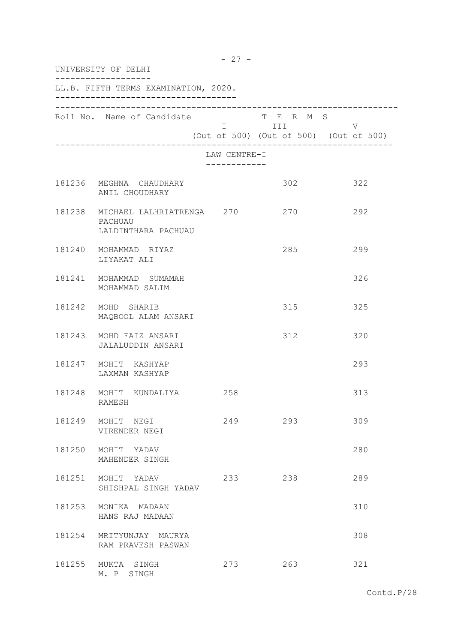|              | UNIVERSITY OF DELHI                                                |                              |                                                                                                                             |                                             |  |  |
|--------------|--------------------------------------------------------------------|------------------------------|-----------------------------------------------------------------------------------------------------------------------------|---------------------------------------------|--|--|
|              | LL.B. FIFTH TERMS EXAMINATION, 2020.                               |                              |                                                                                                                             |                                             |  |  |
|              | Roll No. Name of Candidate                                         |                              | T E R M S<br>I III DA SANTA DE LA TITULA DE LA CATALLA DE LA CATALLA DE LA CATALLA DE LA CATALLA DE LA CATALLA DE LA CATALL | V<br>(Out of 500) (Out of 500) (Out of 500) |  |  |
|              |                                                                    | LAW CENTRE-I<br>____________ |                                                                                                                             |                                             |  |  |
|              | 181236 MEGHNA CHAUDHARY<br>ANIL CHOUDHARY                          |                              | 302                                                                                                                         | 322                                         |  |  |
|              | 181238 MICHAEL LALHRIATRENGA 270<br>PACHUAU<br>LALDINTHARA PACHUAU |                              | 270                                                                                                                         | 292                                         |  |  |
|              | 181240 MOHAMMAD RIYAZ<br>LIYAKAT ALI                               |                              | 285                                                                                                                         | 299                                         |  |  |
|              | 181241 MOHAMMAD SUMAMAH<br>MOHAMMAD SALIM                          |                              |                                                                                                                             | 326                                         |  |  |
|              | 181242 MOHD SHARIB<br>MAQBOOL ALAM ANSARI                          |                              | 315                                                                                                                         | 325                                         |  |  |
|              | 181243 MOHD FAIZ ANSARI<br>JALALUDDIN ANSARI                       |                              | 312                                                                                                                         | 320                                         |  |  |
|              | 181247 MOHIT KASHYAP<br>LAXMAN KASHYAP                             |                              |                                                                                                                             | 293                                         |  |  |
|              | 181248 MOHIT KUNDALIYA 258<br>RAMESH                               |                              |                                                                                                                             | 313                                         |  |  |
| 181249 MOHIT | NEGI<br>VIRENDER NEGI                                              | 249                          | 293                                                                                                                         | 309                                         |  |  |
| 181250       | MOHIT YADAV<br>MAHENDER SINGH                                      |                              |                                                                                                                             | 280                                         |  |  |
| 181251       | MOHIT YADAV<br>SHISHPAL SINGH YADAV                                | 233                          | 238                                                                                                                         | 289                                         |  |  |
| 181253       | MONIKA MADAAN<br>HANS RAJ MADAAN                                   |                              |                                                                                                                             | 310                                         |  |  |
|              | 181254 MRITYUNJAY MAURYA<br>RAM PRAVESH PASWAN                     |                              |                                                                                                                             | 308                                         |  |  |
|              | 181255 MUKTA SINGH<br>M. P SINGH                                   | 273                          | 263                                                                                                                         | 321                                         |  |  |

- 27 -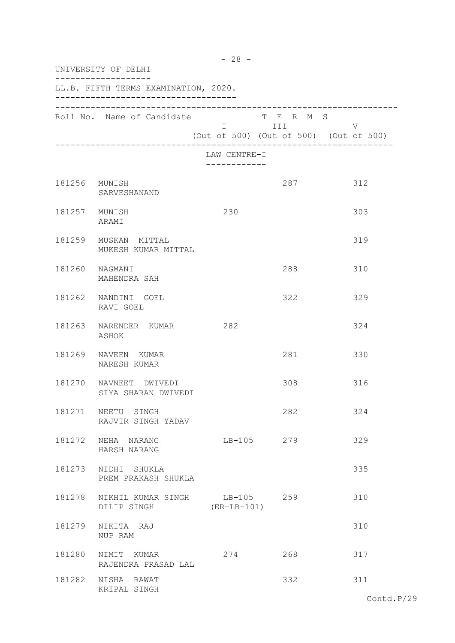|               | UNIVERSITY OF DELHI                                 |                             |                         |                                             |  |
|---------------|-----------------------------------------------------|-----------------------------|-------------------------|---------------------------------------------|--|
|               | LL.B. FIFTH TERMS EXAMINATION, 2020.                |                             |                         |                                             |  |
|               | Roll No. Name of Candidate                          |                             | T E R M S<br>I III DATU | V<br>(Out of 500) (Out of 500) (Out of 500) |  |
|               |                                                     | LAW CENTRE-I<br>----------- |                         |                                             |  |
| 181256 MUNISH | SARVESHANAND                                        |                             | 287                     | 312                                         |  |
|               | 181257 MUNISH<br>ARAMI                              | 230                         |                         | 303                                         |  |
|               | 181259 MUSKAN MITTAL<br>MUKESH KUMAR MITTAL         |                             |                         | 319                                         |  |
|               | 181260 NAGMANI<br>MAHENDRA SAH                      |                             | 288                     | 310                                         |  |
|               | 181262 NANDINI GOEL<br>RAVI GOEL                    |                             | 322                     | 329                                         |  |
|               | 181263 NARENDER KUMAR<br>ASHOK                      | 282                         |                         | 324                                         |  |
|               | 181269 NAVEEN KUMAR<br>NARESH KUMAR                 |                             | 281                     | 330                                         |  |
|               | 181270 NAVNEET DWIVEDI<br>SIYA SHARAN DWIVEDI       |                             | 308                     | 316                                         |  |
|               | 181271 NEETU SINGH<br>RAJVIR SINGH YADAV            |                             | 282                     | 324                                         |  |
|               | 181272 NEHA NARANG<br>HARSH NARANG                  |                             | LB-105 279              | 329                                         |  |
|               | 181273 NIDHI SHUKLA<br>PREM PRAKASH SHUKLA          |                             |                         | 335                                         |  |
|               | 181278 NIKHIL KUMAR SINGH LB-105 259<br>DILIP SINGH | (ER-LB-101)                 |                         | 310                                         |  |
|               | 181279 NIKITA RAJ<br>NUP RAM                        |                             |                         | 310                                         |  |
|               | 181280 NIMIT KUMAR<br>RAJENDRA PRASAD LAL           | 274                         | 268                     | 317                                         |  |
|               | 181282 NISHA RAWAT<br>KRIPAL SINGH                  |                             | 332                     | 311                                         |  |

- 28 -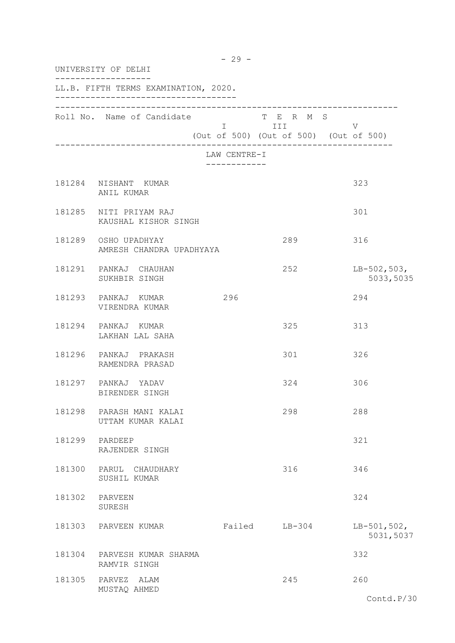|        | UNIVERSITY OF DELHI                              |                              |                                                                   |                            |  |  |
|--------|--------------------------------------------------|------------------------------|-------------------------------------------------------------------|----------------------------|--|--|
|        | LL.B. FIFTH TERMS EXAMINATION, 2020.             |                              |                                                                   |                            |  |  |
|        | Roll No. Name of Candidate                       |                              | T E R M S<br>I III DATU<br>(Out of 500) (Out of 500) (Out of 500) | V                          |  |  |
|        |                                                  | LAW CENTRE-I<br>____________ |                                                                   |                            |  |  |
|        | 181284 NISHANT KUMAR<br>ANIL KUMAR               |                              |                                                                   | 323                        |  |  |
|        | 181285 NITI PRIYAM RAJ<br>KAUSHAL KISHOR SINGH   |                              |                                                                   | 301                        |  |  |
|        | 181289 OSHO UPADHYAY<br>AMRESH CHANDRA UPADHYAYA |                              | 289                                                               | 316                        |  |  |
|        | 181291 PANKAJ CHAUHAN<br>SUKHBIR SINGH           |                              | 252                                                               | $LB-502,503,$<br>5033,5035 |  |  |
|        | 181293 PANKAJ KUMAR<br>VIRENDRA KUMAR            | 296                          |                                                                   | 294                        |  |  |
| 181294 | PANKAJ KUMAR<br>LAKHAN LAL SAHA                  |                              | 325                                                               | 313                        |  |  |
|        | 181296 PANKAJ PRAKASH<br>RAMENDRA PRASAD         |                              | 301                                                               | 326                        |  |  |
|        | 181297 PANKAJ YADAV<br>BIRENDER SINGH            |                              | 324                                                               | 306                        |  |  |
| 181298 | PARASH MANI KALAI<br>UTTAM KUMAR KALAI           |                              | 298                                                               | 288                        |  |  |
| 181299 | PARDEEP<br>RAJENDER SINGH                        |                              |                                                                   | 321                        |  |  |
| 181300 | PARUL CHAUDHARY<br>SUSHIL KUMAR                  |                              | 316                                                               | 346                        |  |  |
| 181302 | PARVEEN<br>SURESH                                |                              |                                                                   | 324                        |  |  |
| 181303 | PARVEEN KUMAR                                    |                              | Failed LB-304                                                     | $LB-501,502,$<br>5031,5037 |  |  |
| 181304 | PARVESH KUMAR SHARMA<br>RAMVIR SINGH             |                              |                                                                   | 332                        |  |  |
| 181305 | PARVEZ ALAM<br>MUSTAQ AHMED                      |                              | 245                                                               | 260<br>Contd.P/30          |  |  |

- 29 -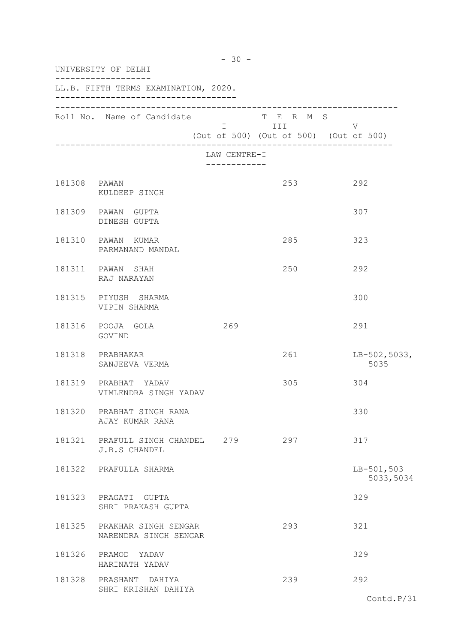|              | $-30 -$<br>UNIVERSITY OF DELHI                       |              |                                                                  |                           |  |  |  |
|--------------|------------------------------------------------------|--------------|------------------------------------------------------------------|---------------------------|--|--|--|
|              | LL.B. FIFTH TERMS EXAMINATION, 2020.                 |              |                                                                  |                           |  |  |  |
|              | Roll No. Name of Candidate                           |              | T E R M S<br>$I$ III V<br>(Out of 500) (Out of 500) (Out of 500) |                           |  |  |  |
|              |                                                      | LAW CENTRE-I |                                                                  |                           |  |  |  |
| 181308 PAWAN | KULDEEP SINGH                                        |              | 253                                                              | 292                       |  |  |  |
|              | 181309 PAWAN GUPTA<br>DINESH GUPTA                   |              |                                                                  | 307                       |  |  |  |
|              | 181310 PAWAN KUMAR<br>PARMANAND MANDAL               |              | 285                                                              | 323                       |  |  |  |
|              | 181311 PAWAN SHAH<br>RAJ NARAYAN                     |              | 250                                                              | 292                       |  |  |  |
|              | 181315 PIYUSH SHARMA<br>VIPIN SHARMA                 |              |                                                                  | 300                       |  |  |  |
|              | 181316 POOJA GOLA<br>GOVIND                          | 269          |                                                                  | 291                       |  |  |  |
|              | 181318 PRABHAKAR<br>SANJEEVA VERMA                   |              | 261                                                              | $LB-502,5033,$<br>5035    |  |  |  |
|              | 181319 PRABHAT YADAV<br>VIMLENDRA SINGH YADAV        |              | 305                                                              | 304                       |  |  |  |
|              | 181320 PRABHAT SINGH RANA<br>AJAY KUMAR RANA         |              |                                                                  | 330                       |  |  |  |
|              | 181321 PRAFULL SINGH CHANDEL 279<br>J.B.S CHANDEL    |              | 297                                                              | 317                       |  |  |  |
|              | 181322 PRAFULLA SHARMA                               |              |                                                                  | $LB-501,503$<br>5033,5034 |  |  |  |
|              | 181323 PRAGATI GUPTA<br>SHRI PRAKASH GUPTA           |              |                                                                  | 329                       |  |  |  |
|              | 181325 PRAKHAR SINGH SENGAR<br>NARENDRA SINGH SENGAR |              | 293                                                              | 321                       |  |  |  |
|              | 181326 PRAMOD YADAV<br>HARINATH YADAV                |              |                                                                  | 329                       |  |  |  |
|              | 181328 PRASHANT DAHIYA<br>SHRI KRISHAN DAHIYA        |              | 239                                                              | 292                       |  |  |  |
|              |                                                      |              |                                                                  | Contd.P/31                |  |  |  |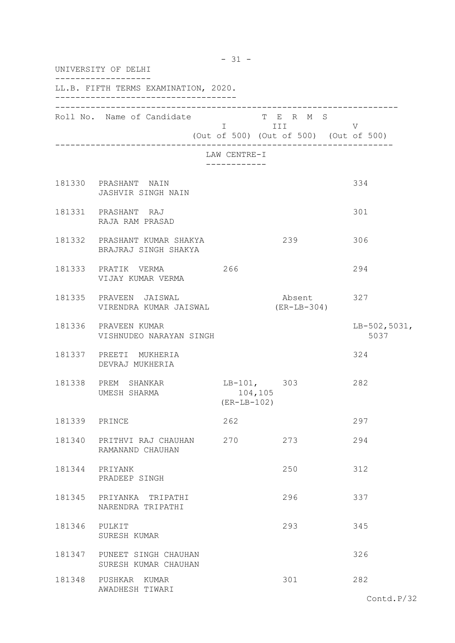|               | $-31 -$<br>UNIVERSITY OF DELHI                       |     |                                           |                                                              |                        |  |
|---------------|------------------------------------------------------|-----|-------------------------------------------|--------------------------------------------------------------|------------------------|--|
|               | LL.B. FIFTH TERMS EXAMINATION, 2020.                 |     |                                           |                                                              |                        |  |
|               | Roll No. Name of Candidate                           |     |                                           | TERMS<br>$I$ III V<br>(Out of 500) (Out of 500) (Out of 500) |                        |  |
|               |                                                      |     | LAW CENTRE-I<br>------------              |                                                              |                        |  |
|               | 181330 PRASHANT NAIN<br>JASHVIR SINGH NAIN           |     |                                           |                                                              | 334                    |  |
|               | 181331 PRASHANT RAJ<br>RAJA RAM PRASAD               |     |                                           |                                                              | 301                    |  |
|               | 181332 PRASHANT KUMAR SHAKYA<br>BRAJRAJ SINGH SHAKYA |     |                                           | 239                                                          | 306                    |  |
|               | 181333 PRATIK VERMA<br>VIJAY KUMAR VERMA             | 266 |                                           |                                                              | 294                    |  |
|               | 181335 PRAVEEN JAISWAL<br>VIRENDRA KUMAR JAISWAL     |     |                                           | Absent<br>$(ER-LB-304)$                                      | 327                    |  |
|               | 181336 PRAVEEN KUMAR<br>VISHNUDEO NARAYAN SINGH      |     |                                           |                                                              | $LB-502,5031,$<br>5037 |  |
|               | 181337 PREETI MUKHERIA<br>DEVRAJ MUKHERIA            |     |                                           |                                                              | 324                    |  |
|               | 181338 PREM SHANKAR<br>UMESH SHARMA                  |     | $LB-101, 303$<br>104,105<br>$(ER-LB-102)$ |                                                              | 282                    |  |
| 181339 PRINCE |                                                      |     | 262                                       |                                                              | 297                    |  |
| 181340        | PRITHVI RAJ CHAUHAN<br>RAMANAND CHAUHAN              | 270 |                                           | 273                                                          | 294                    |  |
| 181344        | PRIYANK<br>PRADEEP SINGH                             |     |                                           | 250                                                          | 312                    |  |
| 181345        | PRIYANKA TRIPATHI<br>NARENDRA TRIPATHI               |     |                                           | 296                                                          | 337                    |  |
| 181346 PULKIT | SURESH KUMAR                                         |     |                                           | 293                                                          | 345                    |  |
|               | 181347 PUNEET SINGH CHAUHAN<br>SURESH KUMAR CHAUHAN  |     |                                           |                                                              | 326                    |  |
| 181348        | PUSHKAR KUMAR<br>AWADHESH TIWARI                     |     |                                           | 301                                                          | 282<br>Contd.P/32      |  |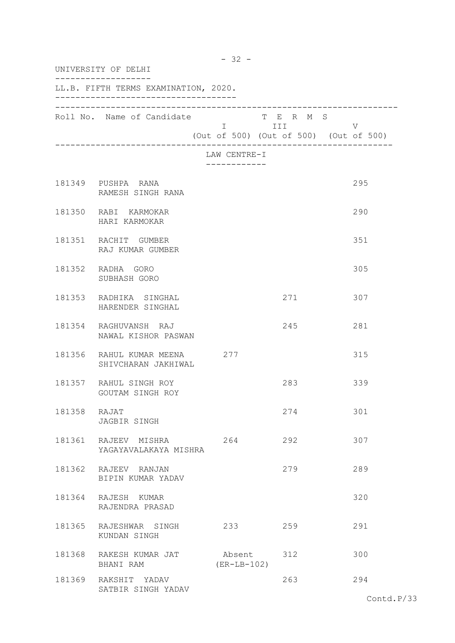| UNIVERSITY OF DELHI |                                                     |                         |                      |                                        |
|---------------------|-----------------------------------------------------|-------------------------|----------------------|----------------------------------------|
|                     | LL.B. FIFTH TERMS EXAMINATION, 2020.                |                         |                      |                                        |
|                     | Roll No. Name of Candidate                          |                         | T E R M S<br>I III V | (Out of 500) (Out of 500) (Out of 500) |
|                     |                                                     | LAW CENTRE-I            |                      |                                        |
|                     | 181349 PUSHPA RANA<br>RAMESH SINGH RANA             |                         |                      | 295                                    |
|                     | 181350 RABI KARMOKAR<br>HARI KARMOKAR               |                         |                      | 290                                    |
|                     | 181351 RACHIT GUMBER<br>RAJ KUMAR GUMBER            |                         |                      | 351                                    |
|                     | 181352 RADHA GORO<br>SUBHASH GORO                   |                         |                      | 305                                    |
|                     | 181353 RADHIKA SINGHAL<br>HARENDER SINGHAL          |                         | 271                  | 307                                    |
|                     | 181354 RAGHUVANSH RAJ<br>NAWAL KISHOR PASWAN        |                         | 245                  | 281                                    |
|                     | 181356 RAHUL KUMAR MEENA 277<br>SHIVCHARAN JAKHIWAL |                         |                      | 315                                    |
|                     | 181357 RAHUL SINGH ROY<br>GOUTAM SINGH ROY          |                         | 283                  | 339                                    |
| 181358 RAJAT        | JAGBIR SINGH                                        |                         | 274                  | 301                                    |
|                     | 181361 RAJEEV MISHRA<br>YAGAYAVALAKAYA MISHRA       | 264                     | 292                  | 307                                    |
|                     | 181362 RAJEEV RANJAN<br>BIPIN KUMAR YADAV           |                         | 279                  | 289                                    |
|                     | 181364 RAJESH KUMAR<br>RAJENDRA PRASAD              |                         |                      | 320                                    |
|                     | 181365 RAJESHWAR SINGH<br>KUNDAN SINGH              | 233                     | 259                  | 291                                    |
|                     | 181368 RAKESH KUMAR JAT<br>BHANI RAM                | Absent<br>$(ER-LB-102)$ | 312                  | 300                                    |
|                     | 181369 RAKSHIT YADAV<br>SATBIR SINGH YADAV          |                         | 263                  | 294                                    |

- 32 -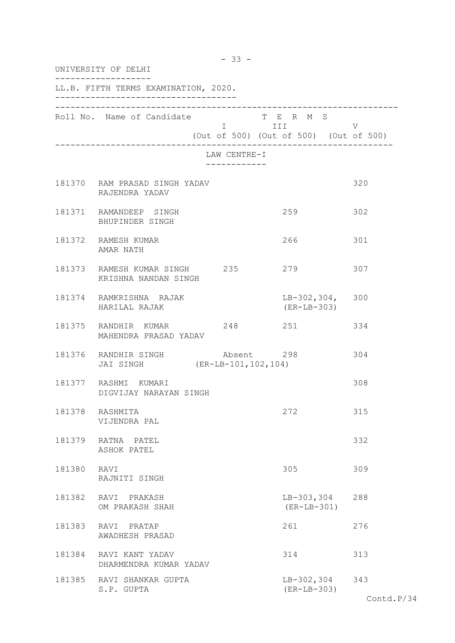| UNIVERSITY OF DELHI |                                                                    |                              |                                                                                                                                                                      |     |  |  |
|---------------------|--------------------------------------------------------------------|------------------------------|----------------------------------------------------------------------------------------------------------------------------------------------------------------------|-----|--|--|
|                     | LL.B. FIFTH TERMS EXAMINATION, 2020.                               |                              |                                                                                                                                                                      |     |  |  |
|                     | Roll No. Name of Candidate                                         |                              | T E R M S<br>I III DA SANTA DE LA TITULA DE LA CATALLA DE LA CATALLA DE LA CATALLA DE LA CATALLA DE LA CATALLA DE LA CATAL<br>(Out of 500) (Out of 500) (Out of 500) | V   |  |  |
|                     |                                                                    | LAW CENTRE-I<br>------------ |                                                                                                                                                                      |     |  |  |
|                     | 181370 RAM PRASAD SINGH YADAV<br>RAJENDRA YADAV                    |                              |                                                                                                                                                                      | 320 |  |  |
|                     | 181371 RAMANDEEP SINGH<br>BHUPINDER SINGH                          |                              | 259                                                                                                                                                                  | 302 |  |  |
|                     | 181372 RAMESH KUMAR<br>AMAR NATH                                   |                              | 266                                                                                                                                                                  | 301 |  |  |
|                     | 181373 RAMESH KUMAR SINGH 235<br>KRISHNA NANDAN SINGH              |                              | 279                                                                                                                                                                  | 307 |  |  |
|                     | 181374 RAMKRISHNA RAJAK<br>HARILAL RAJAK                           |                              | $LB-302, 304, 300$<br>(ER-LB-303)                                                                                                                                    |     |  |  |
|                     | 181375 RANDHIR KUMAR<br>MAHENDRA PRASAD YADAV                      | 248                          | 251                                                                                                                                                                  | 334 |  |  |
|                     | 181376 RANDHIR SINGH Absent 298<br>JAI SINGH (ER-LB-101, 102, 104) |                              |                                                                                                                                                                      | 304 |  |  |
|                     | 181377 RASHMI KUMARI<br>DIGVIJAY NARAYAN SINGH                     |                              |                                                                                                                                                                      | 308 |  |  |
| 181378              | RASHMITA<br>VIJENDRA PAL                                           |                              | 272                                                                                                                                                                  | 315 |  |  |
|                     | 181379 RATNA PATEL<br>ASHOK PATEL                                  |                              |                                                                                                                                                                      | 332 |  |  |
| 181380 RAVI         | RAJNITI SINGH                                                      |                              | 305                                                                                                                                                                  | 309 |  |  |
|                     | 181382 RAVI PRAKASH<br>OM PRAKASH SHAH                             |                              | LB-303,304 288<br>$(ER-LB-301)$                                                                                                                                      |     |  |  |
| 181383              | RAVI PRATAP<br>AWADHESH PRASAD                                     |                              | 261                                                                                                                                                                  | 276 |  |  |
|                     | 181384 RAVI KANT YADAV<br>DHARMENDRA KUMAR YADAV                   |                              | 314                                                                                                                                                                  | 313 |  |  |
|                     | 181385 RAVI SHANKAR GUPTA<br>S.P. GUPTA                            |                              | LB-302,304 343<br>$(ER-LB-303)$                                                                                                                                      |     |  |  |

- 33 -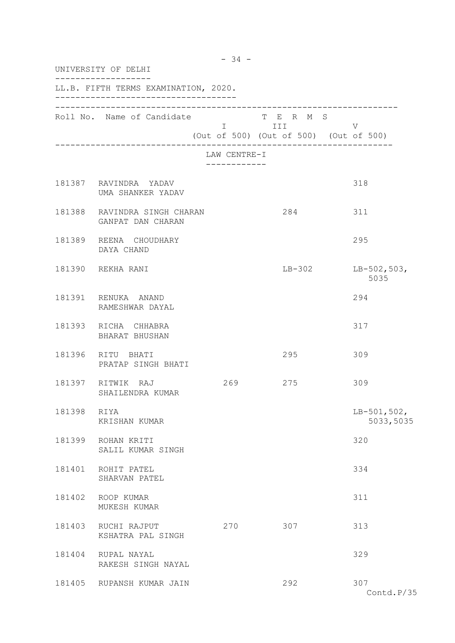|        | UNIVERSITY OF DELHI                               |                              |                                                                                                                                                                                                                                                                                         |                            |  |  |
|--------|---------------------------------------------------|------------------------------|-----------------------------------------------------------------------------------------------------------------------------------------------------------------------------------------------------------------------------------------------------------------------------------------|----------------------------|--|--|
|        | LL.B. FIFTH TERMS EXAMINATION, 2020.              |                              |                                                                                                                                                                                                                                                                                         |                            |  |  |
|        | Roll No. Name of Candidate                        |                              | T E R M S<br>I III DIE STAATSTELLING IN 1970'S STATE OOK HET SAARDE STAATS ON DE STAATSTELLING IN 1970'S STAATSTELLING IN 1<br>STATE OOK IN 1970'S STAATSTELLING IN 1970'S STAATSTELLING IN 1970'S STAATSTELLING IN 1970'S STAATSTELLING IN 1<br>(Out of 500) (Out of 500) (Out of 500) | V                          |  |  |
|        |                                                   | LAW CENTRE-I<br>------------ |                                                                                                                                                                                                                                                                                         |                            |  |  |
|        | 181387 RAVINDRA YADAV<br>UMA SHANKER YADAV        |                              |                                                                                                                                                                                                                                                                                         | 318                        |  |  |
|        | 181388 RAVINDRA SINGH CHARAN<br>GANPAT DAN CHARAN |                              | 284                                                                                                                                                                                                                                                                                     | 311                        |  |  |
|        | 181389 REENA CHOUDHARY<br>DAYA CHAND              |                              |                                                                                                                                                                                                                                                                                         | 295                        |  |  |
|        | 181390 REKHA RANI                                 |                              | $LB-302$                                                                                                                                                                                                                                                                                | $LB-502,503,$<br>5035      |  |  |
|        | 181391 RENUKA ANAND<br>RAMESHWAR DAYAL            |                              |                                                                                                                                                                                                                                                                                         | 294                        |  |  |
|        | 181393 RICHA CHHABRA<br>BHARAT BHUSHAN            |                              |                                                                                                                                                                                                                                                                                         | 317                        |  |  |
|        | 181396 RITU BHATI<br>PRATAP SINGH BHATI           |                              | 295                                                                                                                                                                                                                                                                                     | 309                        |  |  |
|        | 181397 RITWIK RAJ<br>SHAILENDRA KUMAR             | 269                          | 275                                                                                                                                                                                                                                                                                     | 309                        |  |  |
| 181398 | RIYA<br>KRISHAN KUMAR                             |                              |                                                                                                                                                                                                                                                                                         | $LB-501,502,$<br>5033,5035 |  |  |
|        | 181399 ROHAN KRITI<br>SALIL KUMAR SINGH           |                              |                                                                                                                                                                                                                                                                                         | 320                        |  |  |
|        | 181401 ROHIT PATEL<br>SHARVAN PATEL               |                              |                                                                                                                                                                                                                                                                                         | 334                        |  |  |
| 181402 | ROOP KUMAR<br>MUKESH KUMAR                        |                              |                                                                                                                                                                                                                                                                                         | 311                        |  |  |
| 181403 | RUCHI RAJPUT<br>KSHATRA PAL SINGH                 | 270                          | 307                                                                                                                                                                                                                                                                                     | 313                        |  |  |
|        | 181404 RUPAL NAYAL<br>RAKESH SINGH NAYAL          |                              |                                                                                                                                                                                                                                                                                         | 329                        |  |  |
|        | 181405 RUPANSH KUMAR JAIN                         |                              | 292                                                                                                                                                                                                                                                                                     | 307<br>Contd.P/35          |  |  |

- 34 -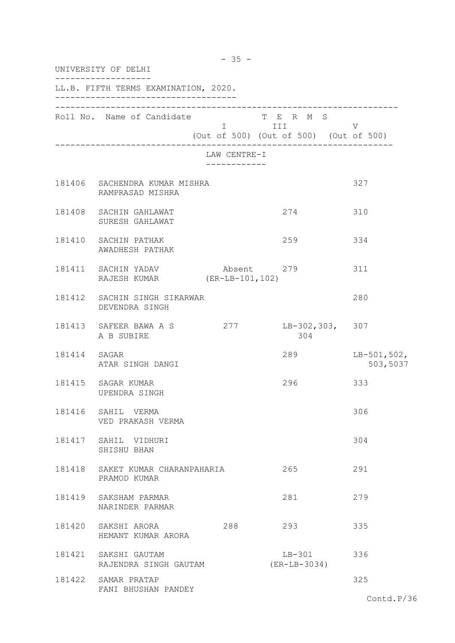|              | $-35 -$<br>UNIVERSITY OF DELHI                      |                              |                                                              |                           |  |  |
|--------------|-----------------------------------------------------|------------------------------|--------------------------------------------------------------|---------------------------|--|--|
|              | LL.B. FIFTH TERMS EXAMINATION, 2020.                |                              |                                                              |                           |  |  |
|              | Roll No. Name of Candidate                          |                              | T E R M S<br>I III<br>(Out of 500) (Out of 500) (Out of 500) | V                         |  |  |
|              |                                                     | LAW CENTRE-I<br>------------ |                                                              |                           |  |  |
|              | 181406 SACHENDRA KUMAR MISHRA<br>RAMPRASAD MISHRA   |                              |                                                              | 327                       |  |  |
|              | 181408 SACHIN GAHLAWAT<br>SURESH GAHLAWAT           |                              | 274                                                          | 310                       |  |  |
|              | 181410 SACHIN PATHAK<br>AWADHESH PATHAK             |                              | 259                                                          | 334                       |  |  |
|              | 181411 SACHIN YADAV<br>RAJESH KUMAR (ER-LB-101,102) | Absent 279                   |                                                              | 311                       |  |  |
|              | 181412 SACHIN SINGH SIKARWAR<br>DEVENDRA SINGH      |                              |                                                              | 280                       |  |  |
|              | 181413 SAFEER BAWA A S<br>A B SUBIRE                |                              | 277 LB-302, 303, 307<br>304                                  |                           |  |  |
| 181414 SAGAR | ATAR SINGH DANGI                                    |                              | 289                                                          | $LB-501,502,$<br>503,5037 |  |  |
|              | 181415 SAGAR KUMAR<br>UPENDRA SINGH                 |                              | 296                                                          | 333                       |  |  |
|              | 181416 SAHIL VERMA<br>VED PRAKASH VERMA             |                              |                                                              | 306                       |  |  |
|              | 181417 SAHIL VIDHURI<br>SHISHU BHAN                 |                              |                                                              | 304                       |  |  |
|              | 181418 SAKET KUMAR CHARANPAHARIA<br>PRAMOD KUMAR    |                              | 265                                                          | 291                       |  |  |
|              | 181419 SAKSHAM PARMAR<br>NARINDER PARMAR            |                              | 281                                                          | 279                       |  |  |
|              | 181420 SAKSHI ARORA<br>HEMANT KUMAR ARORA           | 288                          | 293                                                          | 335                       |  |  |
|              | 181421 SAKSHI GAUTAM<br>RAJENDRA SINGH GAUTAM       |                              | $LB-301$<br>(ER-LB-3034)                                     | 336                       |  |  |
|              | 181422 SAMAR PRATAP<br>FANI BHUSHAN PANDEY          |                              |                                                              | 325<br>Contd.P/36         |  |  |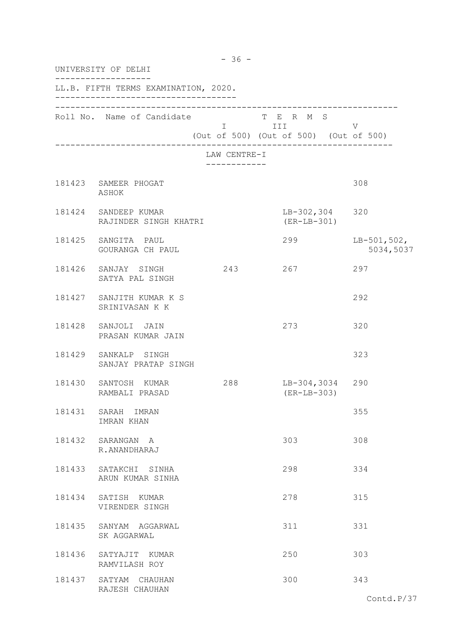| UNIVERSITY OF DELHI                           |                              |                                                                   |                            |  |  |
|-----------------------------------------------|------------------------------|-------------------------------------------------------------------|----------------------------|--|--|
| LL.B. FIFTH TERMS EXAMINATION, 2020.          |                              |                                                                   |                            |  |  |
| Roll No. Name of Candidate                    |                              | T E R M S<br>I III DATU<br>(Out of 500) (Out of 500) (Out of 500) | V                          |  |  |
|                                               | LAW CENTRE-I<br>------------ |                                                                   |                            |  |  |
| 181423 SAMEER PHOGAT<br>ASHOK                 |                              |                                                                   | 308                        |  |  |
| 181424 SANDEEP KUMAR<br>RAJINDER SINGH KHATRI |                              | LB-302,304 320<br>$(ER-LB-301)$                                   |                            |  |  |
| 181425 SANGITA PAUL<br>GOURANGA CH PAUL       |                              | 299                                                               | $LB-501,502,$<br>5034,5037 |  |  |
| 181426 SANJAY SINGH<br>SATYA PAL SINGH        | 243                          | 267                                                               | 297                        |  |  |
| 181427 SANJITH KUMAR K S<br>SRINIVASAN K K    |                              |                                                                   | 292                        |  |  |
| 181428 SANJOLI JAIN<br>PRASAN KUMAR JAIN      |                              | 273                                                               | 320                        |  |  |
| 181429 SANKALP SINGH<br>SANJAY PRATAP SINGH   |                              |                                                                   | 323                        |  |  |
| 181430 SANTOSH KUMAR<br>RAMBALI PRASAD        | 288                          | LB-304,3034 290<br>$(ER-LB-303)$                                  |                            |  |  |
| 181431 SARAH IMRAN<br>IMRAN KHAN              |                              |                                                                   | 355                        |  |  |
| 181432 SARANGAN A<br>R.ANANDHARAJ             |                              | 303                                                               | 308                        |  |  |
| 181433 SATAKCHI SINHA<br>ARUN KUMAR SINHA     |                              | 298                                                               | 334                        |  |  |
| 181434 SATISH KUMAR<br>VIRENDER SINGH         |                              | 278                                                               | 315                        |  |  |
| 181435 SANYAM AGGARWAL<br>SK AGGARWAL         |                              | 311                                                               | 331                        |  |  |
| 181436 SATYAJIT KUMAR<br>RAMVILASH ROY        |                              | 250                                                               | 303                        |  |  |
| 181437 SATYAM CHAUHAN<br>RAJESH CHAUHAN       |                              | 300                                                               | 343                        |  |  |

- 36 -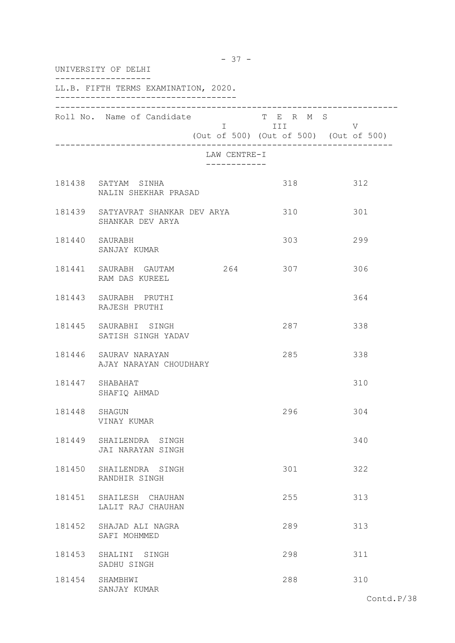| UNIVERSITY OF DELHI |                                                       |                              |                                                     |     |  |  |
|---------------------|-------------------------------------------------------|------------------------------|-----------------------------------------------------|-----|--|--|
|                     | LL.B. FIFTH TERMS EXAMINATION, 2020.                  |                              |                                                     |     |  |  |
|                     | Roll No. Name of Candidate                            |                              | T E R M S<br>(Out of 500) (Out of 500) (Out of 500) | V   |  |  |
|                     |                                                       | LAW CENTRE-I<br>------------ |                                                     |     |  |  |
|                     | 181438 SATYAM SINHA<br>NALIN SHEKHAR PRASAD           |                              | 318                                                 | 312 |  |  |
|                     | 181439 SATYAVRAT SHANKAR DEV ARYA<br>SHANKAR DEV ARYA |                              | 310                                                 | 301 |  |  |
|                     | 181440 SAURABH<br>SANJAY KUMAR                        |                              | 303                                                 | 299 |  |  |
|                     | 181441 SAURABH GAUTAM 264<br>RAM DAS KUREEL           |                              | 307                                                 | 306 |  |  |
|                     | 181443 SAURABH PRUTHI<br>RAJESH PRUTHI                |                              |                                                     | 364 |  |  |
|                     | 181445 SAURABHI SINGH<br>SATISH SINGH YADAV           |                              | 287                                                 | 338 |  |  |
|                     | 181446 SAURAV NARAYAN<br>AJAY NARAYAN CHOUDHARY       |                              | 285                                                 | 338 |  |  |
|                     | 181447 SHABAHAT<br>SHAFIQ AHMAD                       |                              |                                                     | 310 |  |  |
| 181448              | SHAGUN<br>VINAY KUMAR                                 |                              | 296                                                 | 304 |  |  |
|                     | 181449 SHAILENDRA SINGH<br>JAI NARAYAN SINGH          |                              |                                                     | 340 |  |  |
|                     | 181450 SHAILENDRA SINGH<br>RANDHIR SINGH              |                              | 301                                                 | 322 |  |  |
|                     | 181451 SHAILESH CHAUHAN<br>LALIT RAJ CHAUHAN          |                              | 255                                                 | 313 |  |  |
| 181452              | SHAJAD ALI NAGRA<br>SAFI MOHMMED                      |                              | 289                                                 | 313 |  |  |
| 181453              | SHALINI SINGH<br>SADHU SINGH                          |                              | 298                                                 | 311 |  |  |
| 181454              | SHAMBHWI<br>SANJAY KUMAR                              |                              | 288                                                 | 310 |  |  |

- 37 -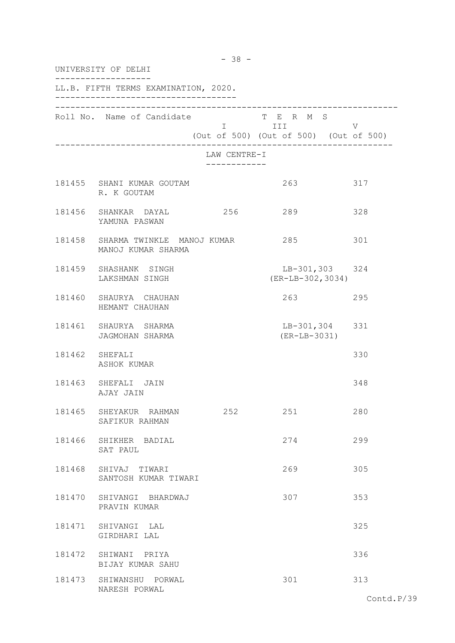|        | UNIVERSITY OF DELHI                                         |                              |                                                                                                                                                                                                                                                                                       |     |  |  |
|--------|-------------------------------------------------------------|------------------------------|---------------------------------------------------------------------------------------------------------------------------------------------------------------------------------------------------------------------------------------------------------------------------------------|-----|--|--|
|        | LL.B. FIFTH TERMS EXAMINATION, 2020.                        |                              |                                                                                                                                                                                                                                                                                       |     |  |  |
|        | Roll No. Name of Candidate                                  |                              | T E R M S<br>I III DA SANTA DE LA TITULA DE LA CATALLA DE LA CATALLA DE LA CATALLA DE LA CATALLA DE LA CATALLA DE LA CATAL<br>DE LA CATALLA DE LA CATALLA DE LA CATALLA DE LA CATALLA DE LA CATALLA DE LA CATALLA DE LA CATALLA DE LA CATAL<br>(Out of 500) (Out of 500) (Out of 500) | V   |  |  |
|        |                                                             | LAW CENTRE-I<br>____________ |                                                                                                                                                                                                                                                                                       |     |  |  |
|        | 181455 SHANI KUMAR GOUTAM<br>R. K GOUTAM                    |                              | 263                                                                                                                                                                                                                                                                                   | 317 |  |  |
|        | 181456 SHANKAR DAYAL<br>YAMUNA PASWAN                       | 256                          | 289                                                                                                                                                                                                                                                                                   | 328 |  |  |
|        | 181458 SHARMA TWINKLE MANOJ KUMAR 285<br>MANOJ KUMAR SHARMA |                              |                                                                                                                                                                                                                                                                                       | 301 |  |  |
|        | 181459 SHASHANK SINGH<br>LAKSHMAN SINGH                     |                              | LB-301,303 324<br>$(ER-LB-302, 3034)$                                                                                                                                                                                                                                                 |     |  |  |
|        | 181460 SHAURYA CHAUHAN<br>HEMANT CHAUHAN                    |                              | 263                                                                                                                                                                                                                                                                                   | 295 |  |  |
|        | 181461 SHAURYA SHARMA<br>JAGMOHAN SHARMA                    |                              | LB-301,304 331<br>(ER-LB-3031)                                                                                                                                                                                                                                                        |     |  |  |
|        | 181462 SHEFALI<br>ASHOK KUMAR                               |                              |                                                                                                                                                                                                                                                                                       | 330 |  |  |
|        | 181463 SHEFALI JAIN<br>AJAY JAIN                            |                              |                                                                                                                                                                                                                                                                                       | 348 |  |  |
|        | 181465 SHEYAKUR RAHMAN<br>SAFIKUR RAHMAN                    | 252                          | 251                                                                                                                                                                                                                                                                                   | 280 |  |  |
|        | 181466 SHIKHER BADIAL<br>SAT PAUL                           |                              | 274                                                                                                                                                                                                                                                                                   | 299 |  |  |
|        | 181468 SHIVAJ TIWARI<br>SANTOSH KUMAR TIWARI                |                              | 269                                                                                                                                                                                                                                                                                   | 305 |  |  |
|        | 181470 SHIVANGI BHARDWAJ<br>PRAVIN KUMAR                    |                              | 307                                                                                                                                                                                                                                                                                   | 353 |  |  |
| 181471 | SHIVANGI LAL<br>GIRDHARI LAL                                |                              |                                                                                                                                                                                                                                                                                       | 325 |  |  |
|        | 181472 SHIWANI PRIYA<br>BIJAY KUMAR SAHU                    |                              |                                                                                                                                                                                                                                                                                       | 336 |  |  |
|        | 181473 SHIWANSHU PORWAL<br>NARESH PORWAL                    |                              | 301                                                                                                                                                                                                                                                                                   | 313 |  |  |

- 38 -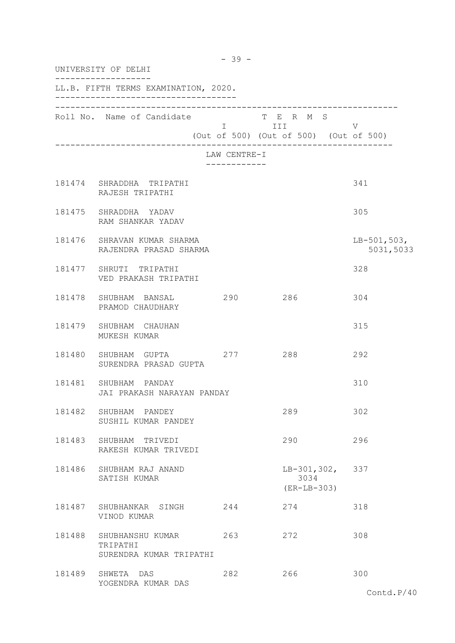|        | UNIVERSITY OF DELHI                                     |              |                                                                |                            |  |  |
|--------|---------------------------------------------------------|--------------|----------------------------------------------------------------|----------------------------|--|--|
|        | LL.B. FIFTH TERMS EXAMINATION, 2020.                    |              |                                                                |                            |  |  |
|        | Roll No. Name of Candidate                              |              | T E R M S<br>I III V<br>(Out of 500) (Out of 500) (Out of 500) |                            |  |  |
|        |                                                         | LAW CENTRE-I |                                                                |                            |  |  |
|        | 181474 SHRADDHA TRIPATHI<br>RAJESH TRIPATHI             |              |                                                                | 341                        |  |  |
|        | 181475 SHRADDHA YADAV<br>RAM SHANKAR YADAV              |              |                                                                | 305                        |  |  |
|        | 181476 SHRAVAN KUMAR SHARMA<br>RAJENDRA PRASAD SHARMA   |              |                                                                | $LB-501,503,$<br>5031,5033 |  |  |
|        | 181477 SHRUTI TRIPATHI<br>VED PRAKASH TRIPATHI          |              |                                                                | 328                        |  |  |
|        | 181478 SHUBHAM BANSAL 290<br>PRAMOD CHAUDHARY           |              | 286                                                            | 304                        |  |  |
|        | 181479 SHUBHAM CHAUHAN<br>MUKESH KUMAR                  |              |                                                                | 315                        |  |  |
|        | 181480 SHUBHAM GUPTA<br>SURENDRA PRASAD GUPTA           | 277 288      |                                                                | 292                        |  |  |
|        | 181481 SHUBHAM PANDAY<br>JAI PRAKASH NARAYAN PANDAY     |              |                                                                | 310                        |  |  |
| 181482 | SHUBHAM PANDEY<br>SUSHIL KUMAR PANDEY                   |              | 289                                                            | 302                        |  |  |
|        | 181483 SHUBHAM TRIVEDI<br>RAKESH KUMAR TRIVEDI          |              | 290                                                            | 296                        |  |  |
| 181486 | SHUBHAM RAJ ANAND<br>SATISH KUMAR                       |              | $LB-301, 302, 337$<br>3034<br>$(ER-LB-303)$                    |                            |  |  |
| 181487 | SHUBHANKAR SINGH<br>VINOD KUMAR                         | 244          | 274                                                            | 318                        |  |  |
| 181488 | SHUBHANSHU KUMAR<br>TRIPATHI<br>SURENDRA KUMAR TRIPATHI | 263          | 272                                                            | 308                        |  |  |
| 181489 | SHWETA DAS<br>YOGENDRA KUMAR DAS                        | 282          | 266                                                            | 300                        |  |  |

- 39 -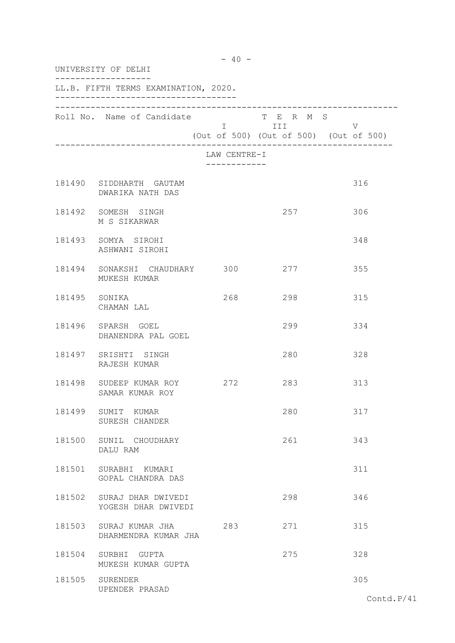|        | UNIVERSITY OF DELHI                                |                              |                                                                                                                                                                                                                                              |                                             |  |  |
|--------|----------------------------------------------------|------------------------------|----------------------------------------------------------------------------------------------------------------------------------------------------------------------------------------------------------------------------------------------|---------------------------------------------|--|--|
|        | LL.B. FIFTH TERMS EXAMINATION, 2020.               |                              |                                                                                                                                                                                                                                              |                                             |  |  |
|        | Roll No. Name of Candidate                         |                              | T E R M S<br>I III DA SANTA DE LA TITULA DE LA CATALLA DE LA CATALLA DE LA CATALLA DE LA CATALLA DE LA CATALLA DE LA CATAL<br>DE LA CATALLA DE LA CATALLA DE LA CATALLA DE LA CATALLA DE LA CATALLA DE LA CATALLA DE LA CATALLA DE LA CATALL | V<br>(Out of 500) (Out of 500) (Out of 500) |  |  |
|        |                                                    | LAW CENTRE-I<br>------------ |                                                                                                                                                                                                                                              |                                             |  |  |
|        | 181490 SIDDHARTH GAUTAM<br>DWARIKA NATH DAS        |                              |                                                                                                                                                                                                                                              | 316                                         |  |  |
|        | 181492 SOMESH SINGH<br>M S SIKARWAR                |                              | 257                                                                                                                                                                                                                                          | 306                                         |  |  |
|        | 181493 SOMYA SIROHI<br>ASHWANI SIROHI              |                              |                                                                                                                                                                                                                                              | 348                                         |  |  |
|        | 181494 SONAKSHI CHAUDHARY 300<br>MUKESH KUMAR      |                              | 277                                                                                                                                                                                                                                          | 355                                         |  |  |
|        | 181495 SONIKA<br>CHAMAN LAL                        | 268                          | 298                                                                                                                                                                                                                                          | 315                                         |  |  |
|        | 181496 SPARSH GOEL<br>DHANENDRA PAL GOEL           |                              | 299                                                                                                                                                                                                                                          | 334                                         |  |  |
|        | 181497 SRISHTI SINGH<br>RAJESH KUMAR               |                              | 280                                                                                                                                                                                                                                          | 328                                         |  |  |
|        | 181498 SUDEEP KUMAR ROY 272<br>SAMAR KUMAR ROY     |                              | 283                                                                                                                                                                                                                                          | 313                                         |  |  |
| 181499 | SUMIT KUMAR<br>SURESH CHANDER                      |                              | 280                                                                                                                                                                                                                                          | 317                                         |  |  |
|        | 181500 SUNIL CHOUDHARY<br>DALU RAM                 |                              | 261                                                                                                                                                                                                                                          | 343                                         |  |  |
|        | 181501 SURABHI KUMARI<br>GOPAL CHANDRA DAS         |                              |                                                                                                                                                                                                                                              | 311                                         |  |  |
|        | 181502 SURAJ DHAR DWIVEDI<br>YOGESH DHAR DWIVEDI   |                              | 298                                                                                                                                                                                                                                          | 346                                         |  |  |
|        | 181503 SURAJ KUMAR JHA 283<br>DHARMENDRA KUMAR JHA |                              | 271                                                                                                                                                                                                                                          | 315                                         |  |  |
|        | 181504 SURBHI GUPTA<br>MUKESH KUMAR GUPTA          |                              | 275                                                                                                                                                                                                                                          | 328                                         |  |  |
|        | 181505 SURENDER<br>UPENDER PRASAD                  |                              |                                                                                                                                                                                                                                              | 305                                         |  |  |

 $- 40 -$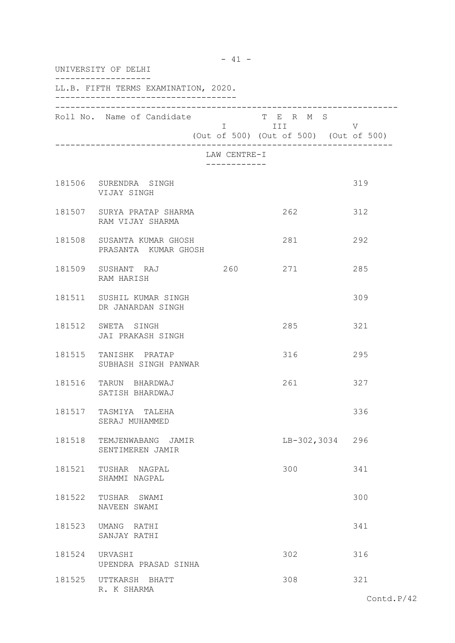|        | UNIVERSITY OF DELHI<br>LL.B. FIFTH TERMS EXAMINATION, 2020. |                              |                                                                   |     |  |  |
|--------|-------------------------------------------------------------|------------------------------|-------------------------------------------------------------------|-----|--|--|
|        |                                                             |                              |                                                                   |     |  |  |
|        | Roll No. Name of Candidate                                  |                              | T E R M S<br>I III DATU<br>(Out of 500) (Out of 500) (Out of 500) | V   |  |  |
|        |                                                             | LAW CENTRE-I<br>------------ |                                                                   |     |  |  |
|        | 181506 SURENDRA SINGH<br>VIJAY SINGH                        |                              |                                                                   | 319 |  |  |
|        | 181507 SURYA PRATAP SHARMA<br>RAM VIJAY SHARMA              |                              | 262                                                               | 312 |  |  |
|        | 181508 SUSANTA KUMAR GHOSH<br>PRASANTA KUMAR GHOSH          |                              | 281                                                               | 292 |  |  |
|        | 181509 SUSHANT RAJ<br>RAM HARISH                            | 260                          | 271                                                               | 285 |  |  |
|        | 181511 SUSHIL KUMAR SINGH<br>DR JANARDAN SINGH              |                              |                                                                   | 309 |  |  |
|        | 181512 SWETA SINGH<br>JAI PRAKASH SINGH                     |                              | 285                                                               | 321 |  |  |
|        | 181515 TANISHK PRATAP<br>SUBHASH SINGH PANWAR               |                              | 316                                                               | 295 |  |  |
|        | 181516 TARUN BHARDWAJ<br>SATISH BHARDWAJ                    |                              | 261                                                               | 327 |  |  |
| 181517 | TASMIYA<br>TALEHA<br>SERAJ MUHAMMED                         |                              |                                                                   | 336 |  |  |
|        | 181518 TEMJENWABANG JAMIR<br>SENTIMEREN JAMIR               |                              | LB-302,3034 296                                                   |     |  |  |
|        | 181521 TUSHAR NAGPAL<br>SHAMMI NAGPAL                       |                              | 300                                                               | 341 |  |  |
|        | 181522 TUSHAR SWAMI<br>NAVEEN SWAMI                         |                              |                                                                   | 300 |  |  |
|        | 181523 UMANG RATHI<br>SANJAY RATHI                          |                              |                                                                   | 341 |  |  |
|        | 181524 URVASHI<br>UPENDRA PRASAD SINHA                      |                              | 302                                                               | 316 |  |  |
|        | 181525 UTTKARSH BHATT<br>R. K SHARMA                        |                              | 308                                                               | 321 |  |  |

- 41 -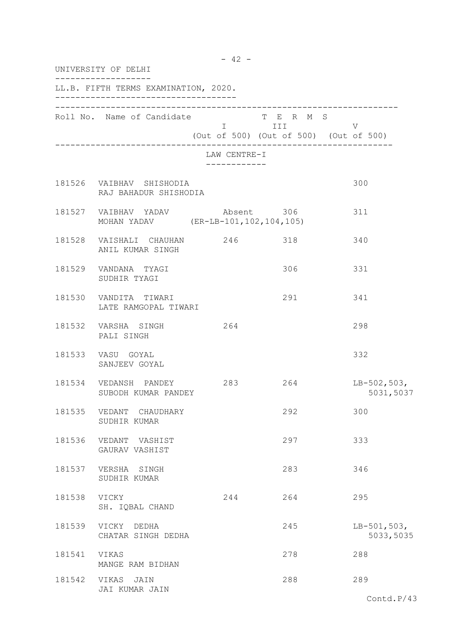|        | UNIVERSITY OF DELHI                                                       |     |                              |                                                                     |                            |  |
|--------|---------------------------------------------------------------------------|-----|------------------------------|---------------------------------------------------------------------|----------------------------|--|
|        | LL.B. FIFTH TERMS EXAMINATION, 2020.                                      |     |                              |                                                                     |                            |  |
|        | Roll No. Name of Candidate                                                |     |                              | T E R M S<br><b>I</b> III<br>(Out of 500) (Out of 500) (Out of 500) | V                          |  |
|        |                                                                           |     | LAW CENTRE-I<br>------------ |                                                                     |                            |  |
|        | 181526 VAIBHAV SHISHODIA<br>RAJ BAHADUR SHISHODIA                         |     |                              |                                                                     | 300                        |  |
|        | 181527 VAIBHAV YADAV Absent 306<br>MOHAN YADAV (ER-LB-101, 102, 104, 105) |     |                              |                                                                     | 311                        |  |
|        | 181528 VAISHALI CHAUHAN 246 318<br>ANIL KUMAR SINGH                       |     |                              |                                                                     | 340                        |  |
|        | 181529 VANDANA TYAGI<br>SUDHIR TYAGI                                      |     |                              | 306                                                                 | 331                        |  |
| 181530 | VANDITA TIWARI<br>LATE RAMGOPAL TIWARI                                    |     |                              | 291                                                                 | 341                        |  |
|        | 181532 VARSHA SINGH<br>PALI SINGH                                         | 264 |                              |                                                                     | 298                        |  |
|        | 181533 VASU GOYAL<br>SANJEEV GOYAL                                        |     |                              |                                                                     | 332                        |  |
|        | 181534 VEDANSH PANDEY 283 264<br>SUBODH KUMAR PANDEY                      |     |                              |                                                                     | $LB-502,503,$<br>5031,5037 |  |
| 181535 | VEDANT CHAUDHARY<br>SUDHIR KUMAR                                          |     |                              | 292                                                                 | 300                        |  |
| 181536 | VEDANT VASHIST<br>GAURAV VASHIST                                          |     |                              | 297                                                                 | 333                        |  |
| 181537 | VERSHA SINGH<br>SUDHIR KUMAR                                              |     |                              | 283                                                                 | 346                        |  |
| 181538 | VICKY<br>SH. IQBAL CHAND                                                  | 244 |                              | 264                                                                 | 295                        |  |
| 181539 | VICKY DEDHA<br>CHATAR SINGH DEDHA                                         |     |                              | 245                                                                 | $LB-501,503,$<br>5033,5035 |  |
| 181541 | VIKAS<br>MANGE RAM BIDHAN                                                 |     |                              | 278                                                                 | 288                        |  |
| 181542 | VIKAS JAIN<br>JAI KUMAR JAIN                                              |     |                              | 288                                                                 | 289                        |  |
|        |                                                                           |     |                              |                                                                     | Contd. $P/43$              |  |

- 42 -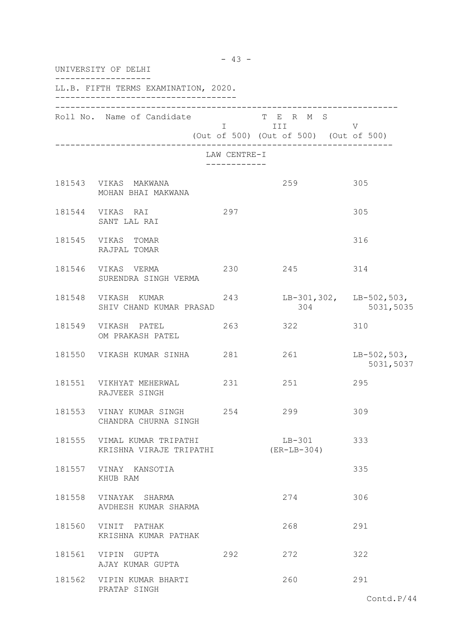| UNIVERSITY OF DELHI |                                                        |                               |                                                                     |                                                 |  |  |
|---------------------|--------------------------------------------------------|-------------------------------|---------------------------------------------------------------------|-------------------------------------------------|--|--|
|                     | LL.B. FIFTH TERMS EXAMINATION, 2020.                   |                               |                                                                     |                                                 |  |  |
|                     | Roll No. Name of Candidate                             |                               | T E R M S<br><b>I</b> III<br>(Out of 500) (Out of 500) (Out of 500) | V                                               |  |  |
|                     |                                                        | LAW CENTRE-I<br>------------- |                                                                     |                                                 |  |  |
|                     | 181543 VIKAS MAKWANA<br>MOHAN BHAI MAKWANA             |                               | 259                                                                 | 305                                             |  |  |
|                     | 181544 VIKAS RAI<br>SANT LAL RAI                       | 297                           |                                                                     | 305                                             |  |  |
|                     | 181545 VIKAS TOMAR<br>RAJPAL TOMAR                     |                               |                                                                     | 316                                             |  |  |
|                     | 181546 VIKAS VERMA<br>SURENDRA SINGH VERMA             | 230                           | 245                                                                 | 314                                             |  |  |
|                     | 181548 VIKASH KUMAR<br>SHIV CHAND KUMAR PRASAD         | 243                           |                                                                     | $LB-301,302,$ $LB-502,503,$<br>304<br>5031,5035 |  |  |
|                     | 181549 VIKASH PATEL<br>OM PRAKASH PATEL                | 263                           | 322                                                                 | 310                                             |  |  |
|                     | 181550 VIKASH KUMAR SINHA 281                          |                               | 261                                                                 | $LB-502,503,$<br>5031,5037                      |  |  |
|                     | 181551 VIKHYAT MEHERWAL 231 251<br>RAJVEER SINGH       |                               |                                                                     | 295                                             |  |  |
| 181553              | VINAY KUMAR SINGH<br>CHANDRA CHURNA SINGH              | 254                           | 299                                                                 | 309                                             |  |  |
|                     | 181555 VIMAL KUMAR TRIPATHI<br>KRISHNA VIRAJE TRIPATHI |                               | $LB-301$<br>(ER-LB-304)                                             | 333                                             |  |  |
|                     | 181557 VINAY KANSOTIA<br>KHUB RAM                      |                               |                                                                     | 335                                             |  |  |
|                     | 181558 VINAYAK SHARMA<br>AVDHESH KUMAR SHARMA          |                               | 274                                                                 | 306                                             |  |  |
| 181560              | VINIT PATHAK<br>KRISHNA KUMAR PATHAK                   |                               | 268                                                                 | 291                                             |  |  |
|                     | 181561 VIPIN GUPTA<br>AJAY KUMAR GUPTA                 | 292                           | 272                                                                 | 322                                             |  |  |
|                     | 181562 VIPIN KUMAR BHARTI<br>PRATAP SINGH              |                               | 260                                                                 | 291                                             |  |  |

- 43 -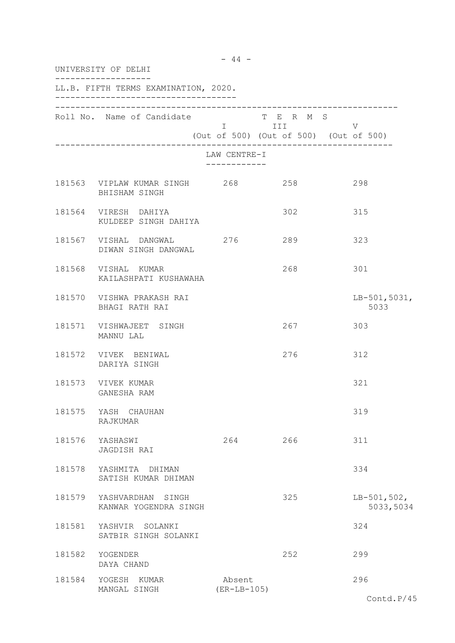| UNIVERSITY OF DELHI                               |                         |                         |                                             |  |  |
|---------------------------------------------------|-------------------------|-------------------------|---------------------------------------------|--|--|
| LL.B. FIFTH TERMS EXAMINATION, 2020.              |                         |                         |                                             |  |  |
| Roll No. Name of Candidate                        |                         | T E R M S<br>I III DATU | V<br>(Out of 500) (Out of 500) (Out of 500) |  |  |
|                                                   | LAW CENTRE-I            |                         |                                             |  |  |
| 181563 VIPLAW KUMAR SINGH 268<br>BHISHAM SINGH    |                         | 258                     | 298                                         |  |  |
| 181564 VIRESH DAHIYA<br>KULDEEP SINGH DAHIYA      |                         | 302                     | 315                                         |  |  |
| 181567 VISHAL DANGWAL 276<br>DIWAN SINGH DANGWAL  |                         | 289                     | 323                                         |  |  |
| 181568 VISHAL KUMAR<br>KAILASHPATI KUSHAWAHA      |                         | 268                     | 301                                         |  |  |
| 181570 VISHWA PRAKASH RAI<br>BHAGI RATH RAI       |                         |                         | $LB-501,5031,$<br>5033                      |  |  |
| 181571 VISHWAJEET SINGH<br>MANNU LAL              |                         | 267                     | 303                                         |  |  |
| 181572 VIVEK BENIWAL<br>DARIYA SINGH              |                         | 276                     | 312                                         |  |  |
| 181573 VIVEK KUMAR<br>GANESHA RAM                 |                         |                         | 321                                         |  |  |
| 181575 YASH CHAUHAN<br>RAJKUMAR                   |                         |                         | 319                                         |  |  |
| 181576 YASHASWI<br>JAGDISH RAI                    | 264                     | 266                     | 311                                         |  |  |
| 181578 YASHMITA DHIMAN<br>SATISH KUMAR DHIMAN     |                         |                         | 334                                         |  |  |
| 181579 YASHVARDHAN SINGH<br>KANWAR YOGENDRA SINGH |                         | 325                     | $LB-501,502,$<br>5033,5034                  |  |  |
| 181581 YASHVIR SOLANKI<br>SATBIR SINGH SOLANKI    |                         |                         | 324                                         |  |  |
| 181582 YOGENDER<br>DAYA CHAND                     |                         | 252                     | 299                                         |  |  |
| 181584 YOGESH KUMAR<br>MANGAL SINGH               | Absent<br>$(ER-LB-105)$ |                         | 296                                         |  |  |

- 44 -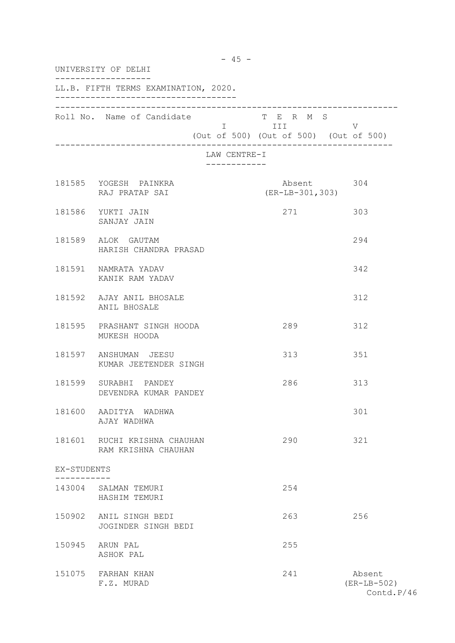| UNIVERSITY OF DELHI |                                                     |                              |                                                                   |                                       |  |
|---------------------|-----------------------------------------------------|------------------------------|-------------------------------------------------------------------|---------------------------------------|--|
|                     | LL.B. FIFTH TERMS EXAMINATION, 2020.                |                              |                                                                   |                                       |  |
|                     | Roll No. Name of Candidate                          |                              | T E R M S<br>I III DATU<br>(Out of 500) (Out of 500) (Out of 500) | V                                     |  |
|                     |                                                     | LAW CENTRE-I<br>------------ |                                                                   |                                       |  |
|                     | 181585 YOGESH PAINKRA<br>RAJ PRATAP SAI             |                              | Absent 304<br>$(ER-LB-301, 303)$                                  |                                       |  |
|                     | 181586 YUKTI JAIN<br>SANJAY JAIN                    |                              | 271                                                               | 303                                   |  |
|                     | 181589 ALOK GAUTAM<br>HARISH CHANDRA PRASAD         |                              |                                                                   | 294                                   |  |
|                     | 181591 NAMRATA YADAV<br>KANIK RAM YADAV             |                              |                                                                   | 342                                   |  |
|                     | 181592 AJAY ANIL BHOSALE<br>ANIL BHOSALE            |                              |                                                                   | 312                                   |  |
|                     | 181595 PRASHANT SINGH HOODA<br>MUKESH HOODA         |                              | 289                                                               | 312                                   |  |
|                     | 181597 ANSHUMAN JEESU<br>KUMAR JEETENDER SINGH      |                              | 313                                                               | 351                                   |  |
|                     | 181599 SURABHI PANDEY<br>DEVENDRA KUMAR PANDEY      |                              | 286                                                               | 313                                   |  |
| 181600              | AADITYA WADHWA<br>AJAY WADHWA                       |                              |                                                                   | 301                                   |  |
|                     | 181601 RUCHI KRISHNA CHAUHAN<br>RAM KRISHNA CHAUHAN |                              | 290                                                               | 321                                   |  |
| EX-STUDENTS         |                                                     |                              |                                                                   |                                       |  |
|                     | 143004 SALMAN TEMURI<br>HASHIM TEMURI               |                              | 254                                                               |                                       |  |
| 150902              | ANIL SINGH BEDI<br>JOGINDER SINGH BEDI              |                              | 263                                                               | 256                                   |  |
| 150945              | ARUN PAL<br>ASHOK PAL                               |                              | 255                                                               |                                       |  |
|                     | 151075 FARHAN KHAN<br>F.Z. MURAD                    |                              | 241                                                               | Absent<br>$(ER-LB-502)$<br>Contd.P/46 |  |

- 45 -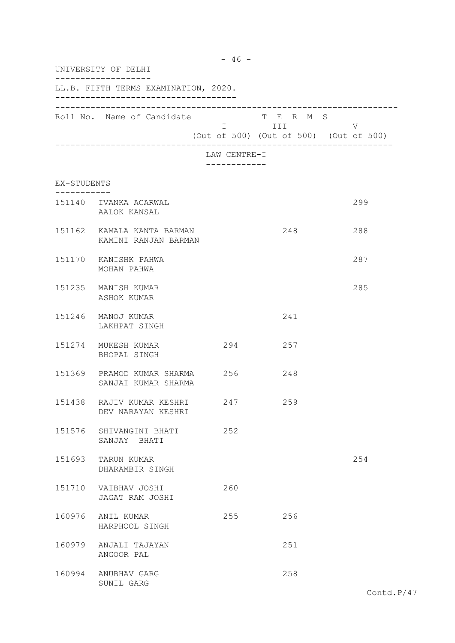|             | UNIVERSITY OF DELHI                                       |              |                      |                                        |  |
|-------------|-----------------------------------------------------------|--------------|----------------------|----------------------------------------|--|
|             | LL.B. FIFTH TERMS EXAMINATION, 2020.                      |              |                      |                                        |  |
|             | Roll No. Name of Candidate                                |              | T E R M S<br>I III V | (Out of 500) (Out of 500) (Out of 500) |  |
|             |                                                           | LAW CENTRE-I |                      |                                        |  |
| EX-STUDENTS |                                                           |              |                      |                                        |  |
|             | 151140 IVANKA AGARWAL<br>AALOK KANSAL                     |              |                      | 299                                    |  |
|             | 151162 KAMALA KANTA BARMAN<br>KAMINI RANJAN BARMAN        |              | 248                  | 288                                    |  |
|             | 151170 KANISHK PAHWA<br>MOHAN PAHWA                       |              |                      | 287                                    |  |
|             | 151235 MANISH KUMAR<br>ASHOK KUMAR                        |              |                      | 285                                    |  |
|             | 151246 MANOJ KUMAR<br>LAKHPAT SINGH                       |              | 241                  |                                        |  |
|             | 151274 MUKESH KUMAR<br>BHOPAL SINGH                       | 294          | 257                  |                                        |  |
|             | 151369 PRAMOD KUMAR SHARMA 256 248<br>SANJAI KUMAR SHARMA |              |                      |                                        |  |
|             | 151438 RAJIV KUMAR KESHRI 247 259<br>DEV NARAYAN KESHRI   |              |                      |                                        |  |
|             | 151576 SHIVANGINI BHATI<br>SANJAY BHATI                   | 252          |                      |                                        |  |
|             | 151693 TARUN KUMAR<br>DHARAMBIR SINGH                     |              |                      | 254                                    |  |
|             | 151710 VAIBHAV JOSHI<br>JAGAT RAM JOSHI                   | 260          |                      |                                        |  |
|             | 160976 ANIL KUMAR<br>HARPHOOL SINGH                       | 255          | 256                  |                                        |  |
|             | 160979 ANJALI TAJAYAN<br>ANGOOR PAL                       |              | 251                  |                                        |  |
|             | 160994 ANUBHAV GARG<br>SUNIL GARG                         |              | 258                  |                                        |  |

- 46 -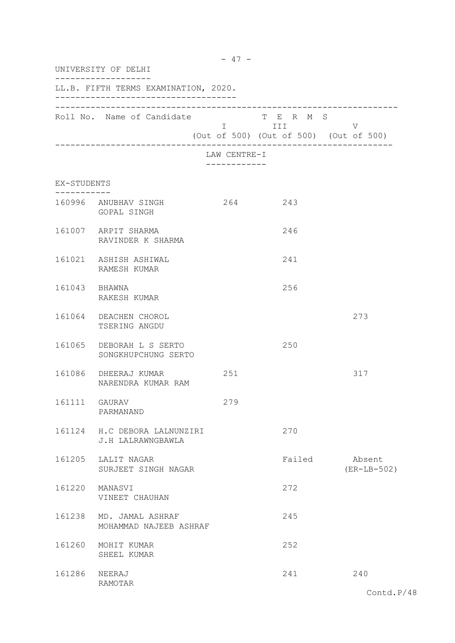|               | UNIVERSITY OF DELHI                               |                             |                    |                                             |
|---------------|---------------------------------------------------|-----------------------------|--------------------|---------------------------------------------|
|               | LL.B. FIFTH TERMS EXAMINATION, 2020.              |                             |                    |                                             |
|               | Roll No. Name of Candidate                        |                             | T E R M S<br>I III | V<br>(Out of 500) (Out of 500) (Out of 500) |
|               |                                                   | LAW CENTRE-I<br>----------- |                    |                                             |
| EX-STUDENTS   |                                                   |                             |                    |                                             |
|               | 160996 ANUBHAV SINGH<br>GOPAL SINGH               | 264 243                     |                    |                                             |
|               | 161007 ARPIT SHARMA<br>RAVINDER K SHARMA          |                             | 246                |                                             |
|               | 161021 ASHISH ASHIWAL<br>RAMESH KUMAR             |                             | 241                |                                             |
| 161043 BHAWNA | RAKESH KUMAR                                      |                             | 256                |                                             |
|               | 161064 DEACHEN CHOROL<br>TSERING ANGDU            |                             |                    | 273                                         |
|               | 161065 DEBORAH L S SERTO<br>SONGKHUPCHUNG SERTO   |                             | 250                |                                             |
|               | 161086 DHEERAJ KUMAR<br>NARENDRA KUMAR RAM        | 251                         |                    | 317                                         |
| 161111 GAURAV | PARMANAND                                         | 279                         |                    |                                             |
|               | 161124 H.C DEBORA LALNUNZIRI<br>J.H LALRAWNGBAWLA |                             | 270                |                                             |
|               | 161205 LALIT NAGAR<br>SURJEET SINGH NAGAR         |                             | Failed             | Absent<br>$(ER-LB-502)$                     |
|               | 161220 MANASVI<br>VINEET CHAUHAN                  |                             | 272                |                                             |
|               | 161238 MD. JAMAL ASHRAF<br>MOHAMMAD NAJEEB ASHRAF |                             | 245                |                                             |
|               | 161260 MOHIT KUMAR<br>SHEEL KUMAR                 |                             | 252                |                                             |
| 161286 NEERAJ | RAMOTAR                                           |                             | 241                | 240                                         |

- 47 -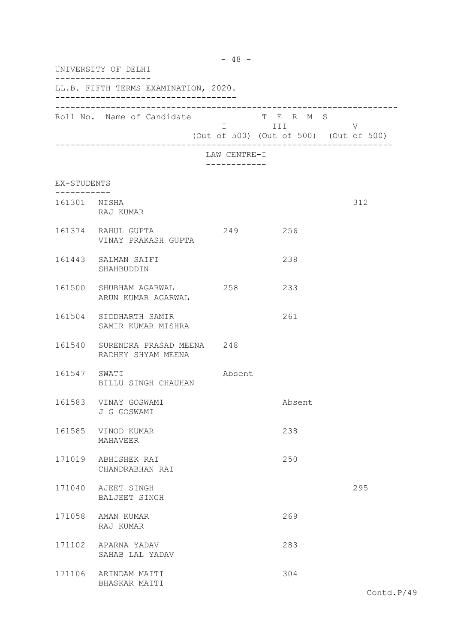| $-48 -$<br>UNIVERSITY OF DELHI |                                                        |                            |                    |                                                  |  |
|--------------------------------|--------------------------------------------------------|----------------------------|--------------------|--------------------------------------------------|--|
|                                | LL.B. FIFTH TERMS EXAMINATION, 2020.                   |                            |                    |                                                  |  |
|                                | Roll No. Name of Candidate                             |                            | T E R M S<br>I III | $\vee$<br>(Out of 500) (Out of 500) (Out of 500) |  |
|                                |                                                        | LAW CENTRE-I<br>---------- |                    |                                                  |  |
| EX-STUDENTS                    |                                                        |                            |                    |                                                  |  |
| 161301 NISHA                   | RAJ KUMAR                                              |                            |                    | 312                                              |  |
|                                | 161374 RAHUL GUPTA<br>VINAY PRAKASH GUPTA              | 249 256                    |                    |                                                  |  |
|                                | 161443 SALMAN SAIFI<br>SHAHBUDDIN                      |                            | 238                |                                                  |  |
|                                | 161500 SHUBHAM AGARWAL<br>ARUN KUMAR AGARWAL           | 258                        | 233                |                                                  |  |
|                                | 161504 SIDDHARTH SAMIR<br>SAMIR KUMAR MISHRA           |                            | 261                |                                                  |  |
|                                | 161540 SURENDRA PRASAD MEENA 248<br>RADHEY SHYAM MEENA |                            |                    |                                                  |  |
| 161547 SWATI                   | BILLU SINGH CHAUHAN                                    | Absent                     |                    |                                                  |  |
|                                | 161583 VINAY GOSWAMI<br>J G GOSWAMI                    |                            | Absent             |                                                  |  |
|                                | 161585 VINOD KUMAR<br>MAHAVEER                         |                            | 238                |                                                  |  |
|                                | 171019 ABHISHEK RAI<br>CHANDRABHAN RAI                 |                            | 250                |                                                  |  |
|                                | 171040 AJEET SINGH<br>BALJEET SINGH                    |                            |                    | 295                                              |  |
|                                | 171058 AMAN KUMAR<br>RAJ KUMAR                         |                            | 269                |                                                  |  |
|                                | 171102 APARNA YADAV<br>SAHAB LAL YADAV                 |                            | 283                |                                                  |  |
|                                | 171106 ARINDAM MAITI<br>BHASKAR MAITI                  |                            | 304                |                                                  |  |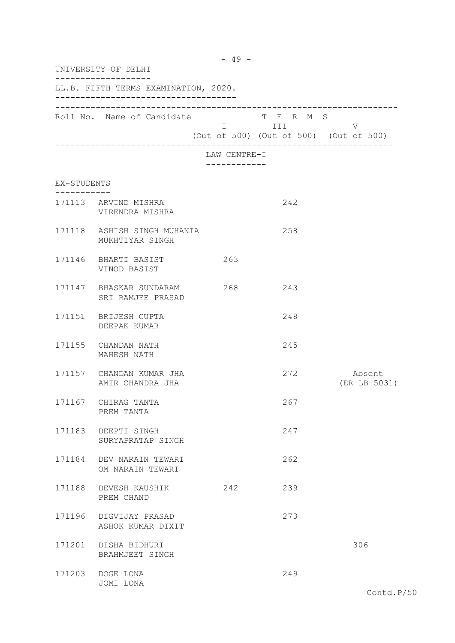| UNIVERSITY OF DELHI<br>LL.B. FIFTH TERMS EXAMINATION, 2020. |                                                |              |     |                          |  |
|-------------------------------------------------------------|------------------------------------------------|--------------|-----|--------------------------|--|
|                                                             |                                                |              |     |                          |  |
|                                                             |                                                | LAW CENTRE-I |     |                          |  |
| EX-STUDENTS                                                 |                                                |              |     |                          |  |
| - - - - - - - - -                                           | 171113 ARVIND MISHRA<br>VIRENDRA MISHRA        |              | 242 |                          |  |
|                                                             | 171118 ASHISH SINGH MUHANIA<br>MUKHTIYAR SINGH |              | 258 |                          |  |
|                                                             | 171146 BHARTI BASIST<br>VINOD BASIST           | 263          |     |                          |  |
|                                                             | 171147 BHASKAR SUNDARAM<br>SRI RAMJEE PRASAD   | 268          | 243 |                          |  |
|                                                             | 171151 BRIJESH GUPTA<br>DEEPAK KUMAR           |              | 248 |                          |  |
|                                                             | 171155 CHANDAN NATH<br>MAHESH NATH             |              | 245 |                          |  |
|                                                             | 171157 CHANDAN KUMAR JHA<br>AMIR CHANDRA JHA   |              | 272 | Absent<br>$(ER-LB-5031)$ |  |
|                                                             | 171167 CHIRAG TANTA<br>PREM TANTA              |              | 267 |                          |  |
|                                                             | 171183 DEEPTI SINGH<br>SURYAPRATAP SINGH       |              | 247 |                          |  |
|                                                             | 171184 DEV NARAIN TEWARI<br>OM NARAIN TEWARI   |              | 262 |                          |  |
|                                                             | 171188 DEVESH KAUSHIK<br>PREM CHAND            | 242          | 239 |                          |  |
|                                                             | 171196 DIGVIJAY PRASAD<br>ASHOK KUMAR DIXIT    |              | 273 |                          |  |
|                                                             | 171201 DISHA BIDHURI<br>BRAHMJEET SINGH        |              |     | 306                      |  |
|                                                             | 171203 DOGE LONA<br>JOMI LONA                  |              | 249 |                          |  |

- 49 -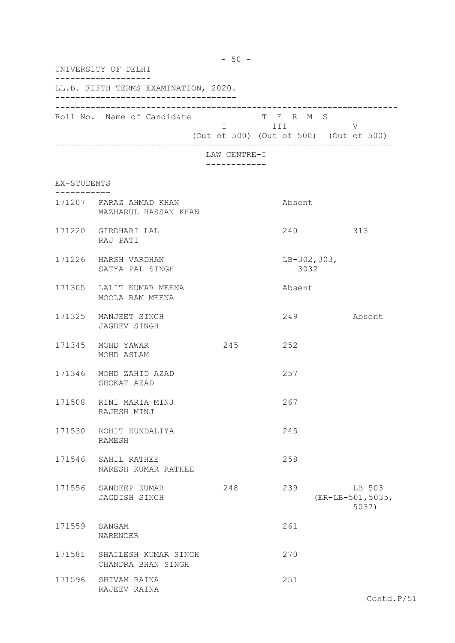| $-50 -$<br>UNIVERSITY OF DELHI |                                                 |                                                                   |  |  |  |
|--------------------------------|-------------------------------------------------|-------------------------------------------------------------------|--|--|--|
|                                | LL.B. FIFTH TERMS EXAMINATION, 2020.            |                                                                   |  |  |  |
|                                | Roll No. Name of Candidate                      | T E R M S<br>I III<br>V<br>(Out of 500) (Out of 500) (Out of 500) |  |  |  |
|                                |                                                 | LAW CENTRE-I                                                      |  |  |  |
| EX-STUDENTS                    |                                                 |                                                                   |  |  |  |
|                                | 171207 FARAZ AHMAD KHAN<br>MAZHARUL HASSAN KHAN | Absent                                                            |  |  |  |
|                                | 171220 GIRDHARI LAL<br>RAJ PATI                 | 240<br>313                                                        |  |  |  |
|                                | 171226 HARSH VARDHAN<br>SATYA PAL SINGH         | $LB-302,303,$<br>3032                                             |  |  |  |
|                                | 171305 LALIT KUMAR MEENA<br>MOOLA RAM MEENA     | Absent                                                            |  |  |  |
|                                | 171325 MANJEET SINGH<br>JAGDEV SINGH            | 249<br>Absent                                                     |  |  |  |
|                                | 171345 MOHD YAWAR<br>MOHD ASLAM                 | 245<br>252                                                        |  |  |  |
|                                | 171346 MOHD ZAHID AZAD<br>SHOKAT AZAD           | 257                                                               |  |  |  |
| 171508                         | RINI MARIA MINJ<br>RAJESH MINJ                  | 267                                                               |  |  |  |
|                                | 171530 ROHIT KUNDALIYA<br>RAMESH                | 245                                                               |  |  |  |
|                                | 171546 SAHIL RATHEE<br>NARESH KUMAR RATHEE      | 258                                                               |  |  |  |
| 171556                         | SANDEEP KUMAR<br>JAGDISH SINGH                  | 248<br>239<br>$LB-503$<br>(ER-LB-501,5035,<br>5037)               |  |  |  |
|                                | 171559 SANGAM<br>NARENDER                       | 261                                                               |  |  |  |
| 171581                         | SHAILESH KUMAR SINGH<br>CHANDRA BHAN SINGH      | 270                                                               |  |  |  |
| 171596                         | SHIVAM RAINA<br>RAJEEV RAINA                    | 251                                                               |  |  |  |